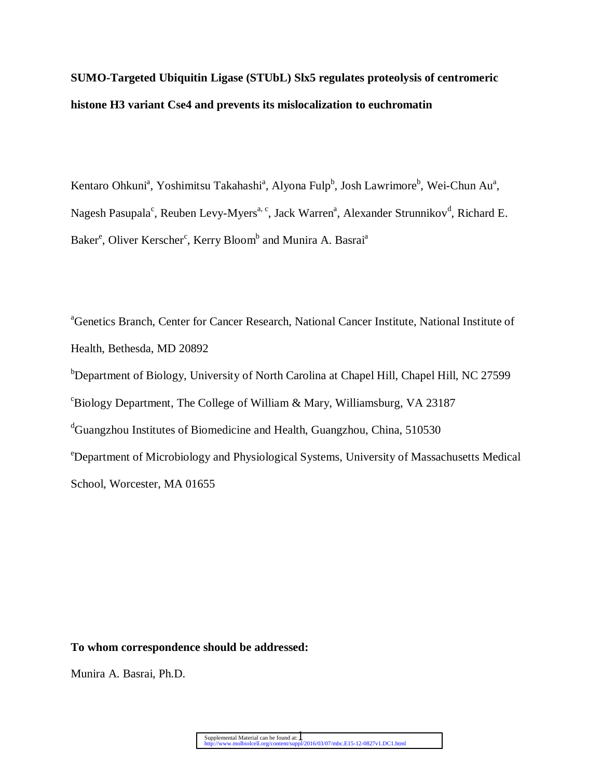**SUMO-Targeted Ubiquitin Ligase (STUbL) Slx5 regulates proteolysis of centromeric histone H3 variant Cse4 and prevents its mislocalization to euchromatin**

Kentaro Ohkuni<sup>a</sup>, Yoshimitsu Takahashi<sup>a</sup>, Alyona Fulp<sup>b</sup>, Josh Lawrimore<sup>b</sup>, Wei-Chun Au<sup>a</sup>, Nagesh Pasupala<sup>c</sup>, Reuben Levy-Myers<sup>a, c</sup>, Jack Warren<sup>a</sup>, Alexander Strunnikov<sup>d</sup>, Richard E. Baker<sup>e</sup>, Oliver Kerscher<sup>c</sup>, Kerry Bloom<sup>b</sup> and Munira A. Basrai<sup>a</sup>

<sup>a</sup>Genetics Branch, Center for Cancer Research, National Cancer Institute, National Institute of Health, Bethesda, MD 20892 b Department of Biology, University of North Carolina at Chapel Hill, Chapel Hill, NC 27599  $c^c$ Biology Department, The College of William & Mary, Williamsburg, VA 23187 <sup>d</sup>Guangzhou Institutes of Biomedicine and Health, Guangzhou, China, 510530 <sup>e</sup>Department of Microbiology and Physiological Systems, University of Massachusetts Medical School, Worcester, MA 01655

#### **To whom correspondence should be addressed:**

Munira A. Basrai, Ph.D.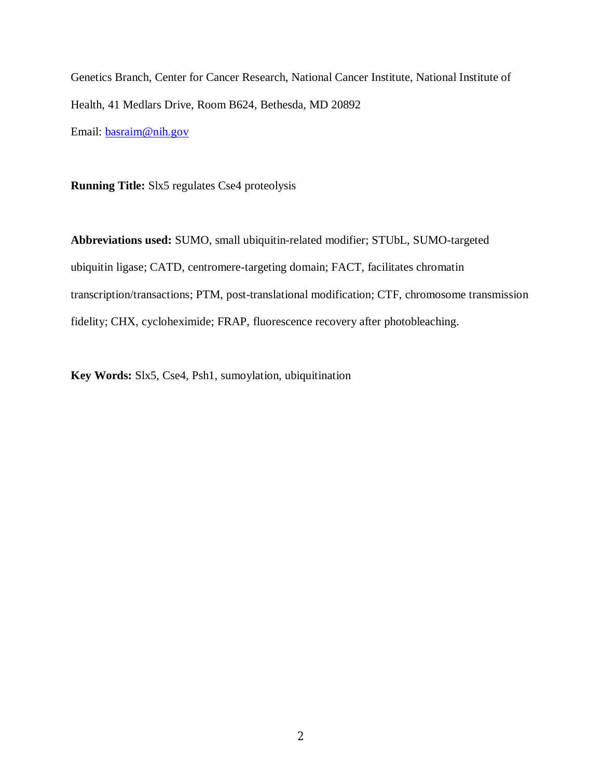Genetics Branch, Center for Cancer Research, National Cancer Institute, National Institute of Health, 41 Medlars Drive, Room B624, Bethesda, MD 20892 Email: basraim@nih.gov

**Running Title:** Slx5 regulates Cse4 proteolysis

**Abbreviations used:** SUMO, small ubiquitin-related modifier; STUbL, SUMO-targeted ubiquitin ligase; CATD, centromere-targeting domain; FACT, facilitates chromatin transcription/transactions; PTM, post-translational modification; CTF, chromosome transmission fidelity; CHX, cycloheximide; FRAP, fluorescence recovery after photobleaching.

**Key Words:** Slx5, Cse4, Psh1, sumoylation, ubiquitination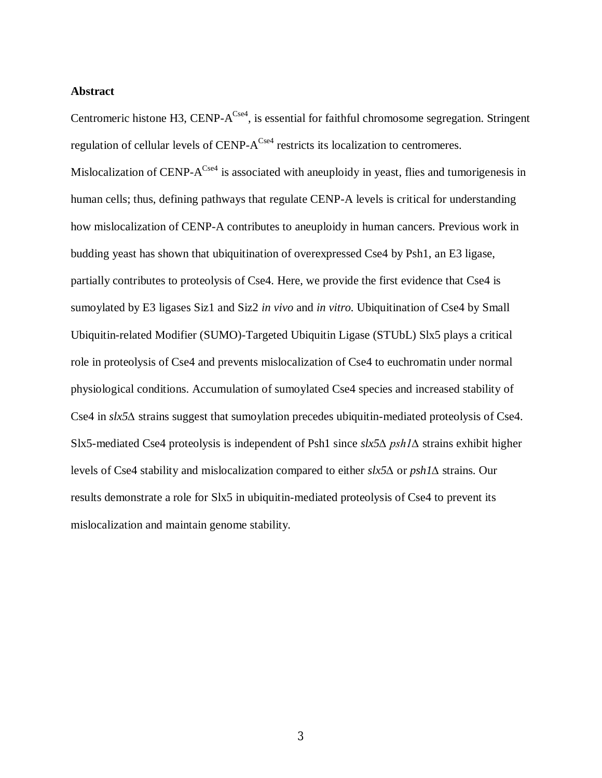#### **Abstract**

Centromeric histone H3, CENP- $A^{Cse4}$ , is essential for faithful chromosome segregation. Stringent regulation of cellular levels of CENP- $A^{Cse4}$  restricts its localization to centromeres. Mislocalization of CENP- $A^{Cse4}$  is associated with aneuploidy in yeast, flies and tumorigenesis in human cells; thus, defining pathways that regulate CENP-A levels is critical for understanding how mislocalization of CENP-A contributes to aneuploidy in human cancers. Previous work in budding yeast has shown that ubiquitination of overexpressed Cse4 by Psh1, an E3 ligase, partially contributes to proteolysis of Cse4. Here, we provide the first evidence that Cse4 is sumoylated by E3 ligases Siz1 and Siz2 *in vivo* and *in vitro.* Ubiquitination of Cse4 by Small Ubiquitin-related Modifier (SUMO)-Targeted Ubiquitin Ligase (STUbL) Slx5 plays a critical role in proteolysis of Cse4 and prevents mislocalization of Cse4 to euchromatin under normal physiological conditions. Accumulation of sumoylated Cse4 species and increased stability of Cse4 in *slx5∆* strains suggest that sumoylation precedes ubiquitin-mediated proteolysis of Cse4. Slx5-mediated Cse4 proteolysis is independent of Psh1 since *slx5∆ psh1∆* strains exhibit higher levels of Cse4 stability and mislocalization compared to either *slx5∆* or *psh1∆* strains. Our results demonstrate a role for Slx5 in ubiquitin-mediated proteolysis of Cse4 to prevent its mislocalization and maintain genome stability.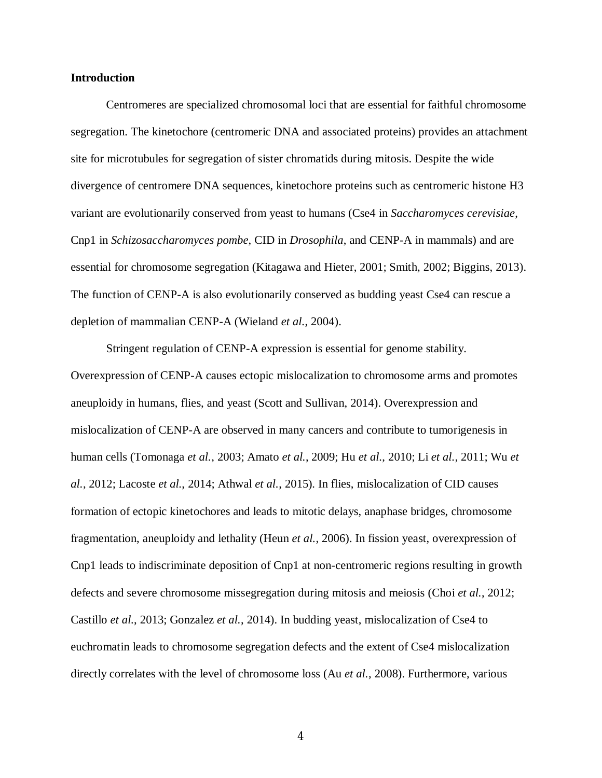#### **Introduction**

Centromeres are specialized chromosomal loci that are essential for faithful chromosome segregation. The kinetochore (centromeric DNA and associated proteins) provides an attachment site for microtubules for segregation of sister chromatids during mitosis. Despite the wide divergence of centromere DNA sequences, kinetochore proteins such as centromeric histone H3 variant are evolutionarily conserved from yeast to humans (Cse4 in *Saccharomyces cerevisiae*, Cnp1 in *Schizosaccharomyces pombe*, CID in *Drosophila*, and CENP-A in mammals) and are essential for chromosome segregation (Kitagawa and Hieter, 2001; Smith, 2002; Biggins, 2013). The function of CENP-A is also evolutionarily conserved as budding yeast Cse4 can rescue a depletion of mammalian CENP-A (Wieland *et al.*, 2004).

Stringent regulation of CENP-A expression is essential for genome stability. Overexpression of CENP-A causes ectopic mislocalization to chromosome arms and promotes aneuploidy in humans, flies, and yeast (Scott and Sullivan, 2014). Overexpression and mislocalization of CENP-A are observed in many cancers and contribute to tumorigenesis in human cells (Tomonaga *et al.*, 2003; Amato *et al.*, 2009; Hu *et al.*, 2010; Li *et al.*, 2011; Wu *et al.*, 2012; Lacoste *et al.*, 2014; Athwal *et al.*, 2015). In flies, mislocalization of CID causes formation of ectopic kinetochores and leads to mitotic delays, anaphase bridges, chromosome fragmentation, aneuploidy and lethality (Heun *et al.*, 2006). In fission yeast, overexpression of Cnp1 leads to indiscriminate deposition of Cnp1 at non-centromeric regions resulting in growth defects and severe chromosome missegregation during mitosis and meiosis (Choi *et al.*, 2012; Castillo *et al.*, 2013; Gonzalez *et al.*, 2014). In budding yeast, mislocalization of Cse4 to euchromatin leads to chromosome segregation defects and the extent of Cse4 mislocalization directly correlates with the level of chromosome loss (Au *et al.*, 2008). Furthermore, various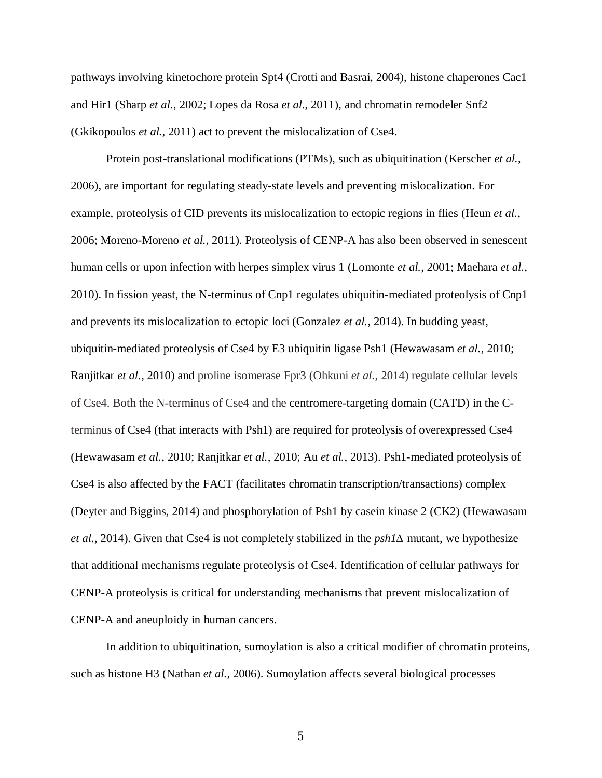pathways involving kinetochore protein Spt4 (Crotti and Basrai, 2004), histone chaperones Cac1 and Hir1 (Sharp *et al.*, 2002; Lopes da Rosa *et al.*, 2011), and chromatin remodeler Snf2 (Gkikopoulos *et al.*, 2011) act to prevent the mislocalization of Cse4.

Protein post-translational modifications (PTMs), such as ubiquitination (Kerscher *et al.*, 2006), are important for regulating steady-state levels and preventing mislocalization. For example, proteolysis of CID prevents its mislocalization to ectopic regions in flies (Heun *et al.*, 2006; Moreno-Moreno *et al.*, 2011). Proteolysis of CENP-A has also been observed in senescent human cells or upon infection with herpes simplex virus 1 (Lomonte *et al.*, 2001; Maehara *et al.*, 2010). In fission yeast, the N-terminus of Cnp1 regulates ubiquitin-mediated proteolysis of Cnp1 and prevents its mislocalization to ectopic loci (Gonzalez *et al.*, 2014). In budding yeast, ubiquitin-mediated proteolysis of Cse4 by E3 ubiquitin ligase Psh1 (Hewawasam *et al.*, 2010; Ranjitkar *et al.*, 2010) and proline isomerase Fpr3 (Ohkuni *et al.*, 2014) regulate cellular levels of Cse4. Both the N-terminus of Cse4 and the centromere-targeting domain (CATD) in the Cterminus of Cse4 (that interacts with Psh1) are required for proteolysis of overexpressed Cse4 (Hewawasam *et al.*, 2010; Ranjitkar *et al.*, 2010; Au *et al.*, 2013). Psh1-mediated proteolysis of Cse4 is also affected by the FACT (facilitates chromatin transcription/transactions) complex (Deyter and Biggins, 2014) and phosphorylation of Psh1 by casein kinase 2 (CK2) (Hewawasam *et al.*, 2014). Given that Cse4 is not completely stabilized in the *psh1*∆ mutant, we hypothesize that additional mechanisms regulate proteolysis of Cse4. Identification of cellular pathways for CENP-A proteolysis is critical for understanding mechanisms that prevent mislocalization of CENP-A and aneuploidy in human cancers.

In addition to ubiquitination, sumoylation is also a critical modifier of chromatin proteins, such as histone H3 (Nathan *et al.*, 2006). Sumoylation affects several biological processes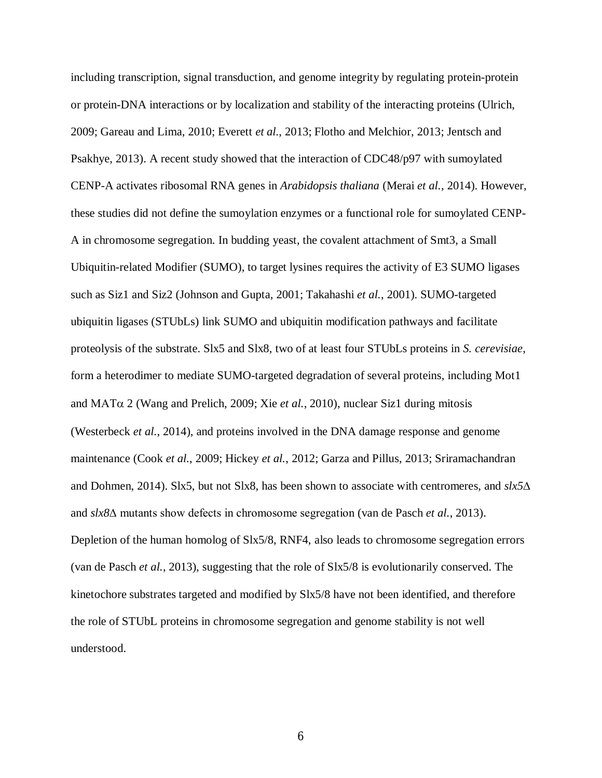including transcription, signal transduction, and genome integrity by regulating protein-protein or protein-DNA interactions or by localization and stability of the interacting proteins (Ulrich, 2009; Gareau and Lima, 2010; Everett *et al.*, 2013; Flotho and Melchior, 2013; Jentsch and Psakhye, 2013). A recent study showed that the interaction of CDC48/p97 with sumoylated CENP-A activates ribosomal RNA genes in *Arabidopsis thaliana* (Merai *et al.*, 2014). However, these studies did not define the sumoylation enzymes or a functional role for sumoylated CENP-A in chromosome segregation. In budding yeast, the covalent attachment of Smt3, a Small Ubiquitin-related Modifier (SUMO), to target lysines requires the activity of E3 SUMO ligases such as Siz1 and Siz2 (Johnson and Gupta, 2001; Takahashi *et al.*, 2001). SUMO-targeted ubiquitin ligases (STUbLs) link SUMO and ubiquitin modification pathways and facilitate proteolysis of the substrate. Slx5 and Slx8, two of at least four STUbLs proteins in *S. cerevisiae*, form a heterodimer to mediate SUMO-targeted degradation of several proteins, including Mot1 and  $\text{MAT}\alpha$  2 (Wang and Prelich, 2009; Xie *et al.*, 2010), nuclear Siz1 during mitosis (Westerbeck *et al.*, 2014), and proteins involved in the DNA damage response and genome maintenance (Cook *et al.*, 2009; Hickey *et al.*, 2012; Garza and Pillus, 2013; Sriramachandran and Dohmen, 2014). Slx5, but not Slx8, has been shown to associate with centromeres, and *slx5*∆ and *slx8*∆ mutants show defects in chromosome segregation (van de Pasch *et al.*, 2013). Depletion of the human homolog of Slx5/8, RNF4, also leads to chromosome segregation errors (van de Pasch *et al.*, 2013), suggesting that the role of Slx5/8 is evolutionarily conserved. The kinetochore substrates targeted and modified by Slx5/8 have not been identified, and therefore the role of STUbL proteins in chromosome segregation and genome stability is not well understood.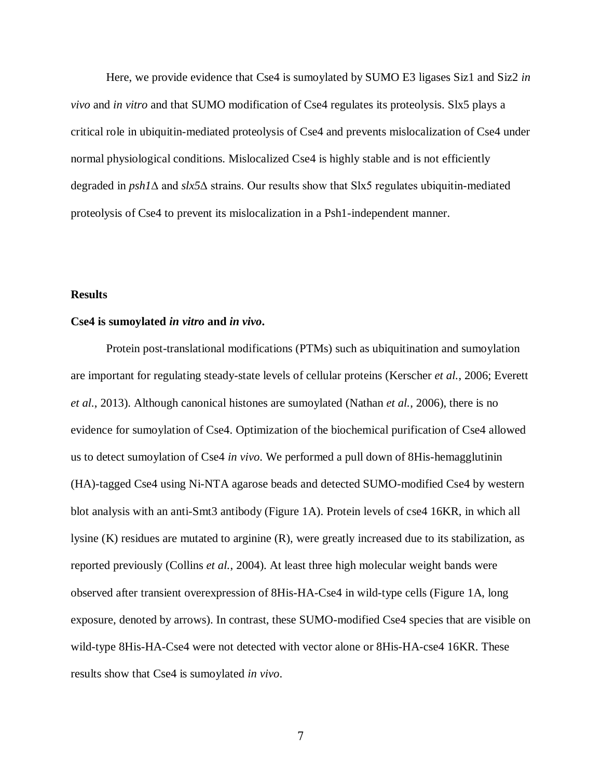Here, we provide evidence that Cse4 is sumoylated by SUMO E3 ligases Siz1 and Siz2 *in vivo* and *in vitro* and that SUMO modification of Cse4 regulates its proteolysis. Slx5 plays a critical role in ubiquitin-mediated proteolysis of Cse4 and prevents mislocalization of Cse4 under normal physiological conditions. Mislocalized Cse4 is highly stable and is not efficiently degraded in *psh1*∆ and *slx5*∆ strains. Our results show that Slx5 regulates ubiquitin-mediated proteolysis of Cse4 to prevent its mislocalization in a Psh1-independent manner.

## **Results**

#### **Cse4 is sumoylated** *in vitro* **and** *in vivo***.**

Protein post-translational modifications (PTMs) such as ubiquitination and sumoylation are important for regulating steady-state levels of cellular proteins (Kerscher *et al.*, 2006; Everett *et al.*, 2013). Although canonical histones are sumoylated (Nathan *et al.*, 2006), there is no evidence for sumoylation of Cse4. Optimization of the biochemical purification of Cse4 allowed us to detect sumoylation of Cse4 *in vivo*. We performed a pull down of 8His-hemagglutinin (HA)-tagged Cse4 using Ni-NTA agarose beads and detected SUMO-modified Cse4 by western blot analysis with an anti-Smt3 antibody (Figure 1A). Protein levels of cse4 16KR, in which all lysine (K) residues are mutated to arginine (R), were greatly increased due to its stabilization, as reported previously (Collins *et al.*, 2004). At least three high molecular weight bands were observed after transient overexpression of 8His-HA-Cse4 in wild-type cells (Figure 1A, long exposure, denoted by arrows). In contrast, these SUMO-modified Cse4 species that are visible on wild-type 8His-HA-Cse4 were not detected with vector alone or 8His-HA-cse4 16KR. These results show that Cse4 is sumoylated *in vivo*.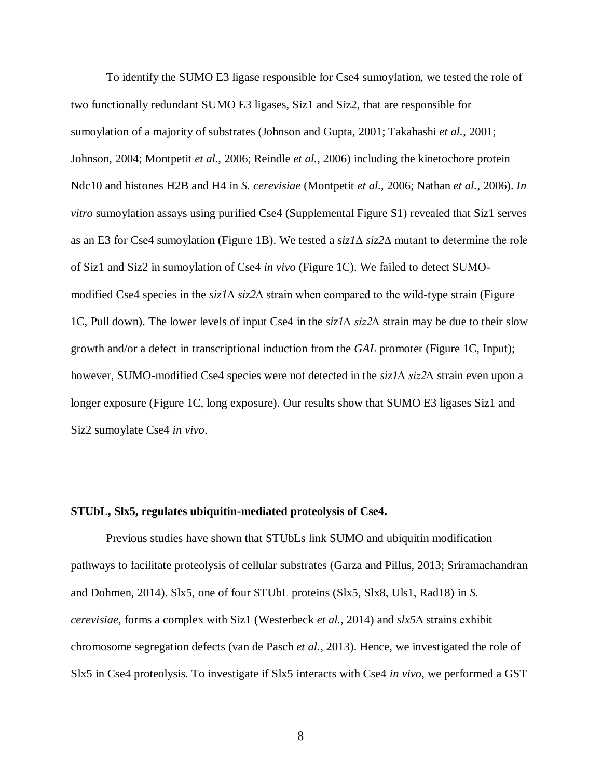To identify the SUMO E3 ligase responsible for Cse4 sumoylation, we tested the role of two functionally redundant SUMO E3 ligases, Siz1 and Siz2, that are responsible for sumoylation of a majority of substrates (Johnson and Gupta, 2001; Takahashi *et al.*, 2001; Johnson, 2004; Montpetit *et al.*, 2006; Reindle *et al.*, 2006) including the kinetochore protein Ndc10 and histones H2B and H4 in *S. cerevisiae* (Montpetit *et al.*, 2006; Nathan *et al.*, 2006). *In vitro* sumoylation assays using purified Cse4 (Supplemental Figure S1) revealed that Siz1 serves as an E3 for Cse4 sumoylation (Figure 1B). We tested a *siz1*∆ *siz2*∆ mutant to determine the role of Siz1 and Siz2 in sumoylation of Cse4 *in vivo* (Figure 1C). We failed to detect SUMOmodified Cse4 species in the *siz1*∆ *siz2*∆ strain when compared to the wild-type strain (Figure 1C, Pull down). The lower levels of input Cse4 in the *siz1∆ siz2∆* strain may be due to their slow growth and/or a defect in transcriptional induction from the *GAL* promoter (Figure 1C, Input); however, SUMO-modified Cse4 species were not detected in the *siz1∆ siz2∆* strain even upon a longer exposure (Figure 1C, long exposure). Our results show that SUMO E3 ligases Siz1 and Siz2 sumoylate Cse4 *in vivo*.

#### **STUbL, Slx5, regulates ubiquitin-mediated proteolysis of Cse4.**

Previous studies have shown that STUbLs link SUMO and ubiquitin modification pathways to facilitate proteolysis of cellular substrates (Garza and Pillus, 2013; Sriramachandran and Dohmen, 2014). Slx5, one of four STUbL proteins (Slx5, Slx8, Uls1, Rad18) in *S. cerevisiae*, forms a complex with Siz1 (Westerbeck *et al.*, 2014) and *slx5*∆ strains exhibit chromosome segregation defects (van de Pasch *et al.*, 2013). Hence, we investigated the role of Slx5 in Cse4 proteolysis. To investigate if Slx5 interacts with Cse4 *in vivo*, we performed a GST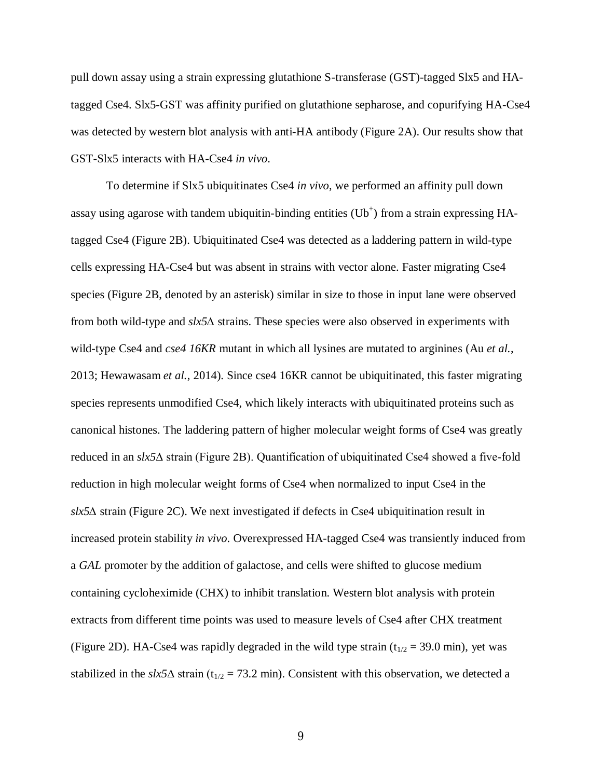pull down assay using a strain expressing glutathione S-transferase (GST)-tagged Slx5 and HAtagged Cse4. Slx5-GST was affinity purified on glutathione sepharose, and copurifying HA-Cse4 was detected by western blot analysis with anti-HA antibody (Figure 2A). Our results show that GST-Slx5 interacts with HA-Cse4 *in vivo*.

To determine if Slx5 ubiquitinates Cse4 *in vivo*, we performed an affinity pull down assay using agarose with tandem ubiquitin-binding entities  $(Ub<sup>+</sup>)$  from a strain expressing HAtagged Cse4 (Figure 2B). Ubiquitinated Cse4 was detected as a laddering pattern in wild-type cells expressing HA-Cse4 but was absent in strains with vector alone. Faster migrating Cse4 species (Figure 2B, denoted by an asterisk) similar in size to those in input lane were observed from both wild-type and *slx5∆* strains. These species were also observed in experiments with wild-type Cse4 and *cse4 16KR* mutant in which all lysines are mutated to arginines (Au *et al.*, 2013; Hewawasam *et al.*, 2014). Since cse4 16KR cannot be ubiquitinated, this faster migrating species represents unmodified Cse4, which likely interacts with ubiquitinated proteins such as canonical histones. The laddering pattern of higher molecular weight forms of Cse4 was greatly reduced in an *slx5*∆ strain (Figure 2B). Quantification of ubiquitinated Cse4 showed a five-fold reduction in high molecular weight forms of Cse4 when normalized to input Cse4 in the *slx5∆* strain (Figure 2C). We next investigated if defects in Cse4 ubiquitination result in increased protein stability *in vivo*. Overexpressed HA-tagged Cse4 was transiently induced from a *GAL* promoter by the addition of galactose, and cells were shifted to glucose medium containing cycloheximide (CHX) to inhibit translation. Western blot analysis with protein extracts from different time points was used to measure levels of Cse4 after CHX treatment (Figure 2D). HA-Cse4 was rapidly degraded in the wild type strain ( $t_{1/2}$  = 39.0 min), yet was stabilized in the *slx5* $\Delta$  strain (t<sub>1/2</sub> = 73.2 min). Consistent with this observation, we detected a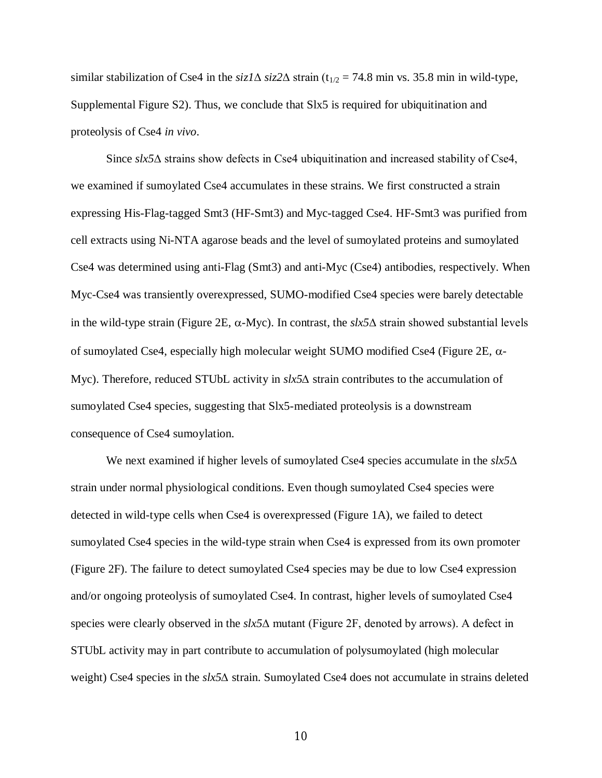similar stabilization of Cse4 in the *siz1*∆ *siz2*∆ strain (t<sub>1/2</sub> = 74.8 min vs. 35.8 min in wild-type, Supplemental Figure S2). Thus, we conclude that Slx5 is required for ubiquitination and proteolysis of Cse4 *in vivo*.

Since *slx5*∆ strains show defects in Cse4 ubiquitination and increased stability of Cse4, we examined if sumoylated Cse4 accumulates in these strains. We first constructed a strain expressing His-Flag-tagged Smt3 (HF-Smt3) and Myc-tagged Cse4. HF-Smt3 was purified from cell extracts using Ni-NTA agarose beads and the level of sumoylated proteins and sumoylated Cse4 was determined using anti-Flag (Smt3) and anti-Myc (Cse4) antibodies, respectively. When Myc-Cse4 was transiently overexpressed, SUMO-modified Cse4 species were barely detectable in the wild-type strain (Figure 2E,  $\alpha$ -Myc). In contrast, the *slx5*∆ strain showed substantial levels of sumoylated Cse4, especially high molecular weight SUMO modified Cse4 (Figure 2E,  $\alpha$ -Myc). Therefore, reduced STUbL activity in *slx5∆* strain contributes to the accumulation of sumoylated Cse4 species, suggesting that Slx5-mediated proteolysis is a downstream consequence of Cse4 sumoylation.

We next examined if higher levels of sumoylated Cse4 species accumulate in the *slx5*∆ strain under normal physiological conditions. Even though sumoylated Cse4 species were detected in wild-type cells when Cse4 is overexpressed (Figure 1A), we failed to detect sumoylated Cse4 species in the wild-type strain when Cse4 is expressed from its own promoter (Figure 2F). The failure to detect sumoylated Cse4 species may be due to low Cse4 expression and/or ongoing proteolysis of sumoylated Cse4. In contrast, higher levels of sumoylated Cse4 species were clearly observed in the *slx5*∆ mutant (Figure 2F, denoted by arrows). A defect in STUbL activity may in part contribute to accumulation of polysumoylated (high molecular weight) Cse4 species in the *slx5∆* strain. Sumoylated Cse4 does not accumulate in strains deleted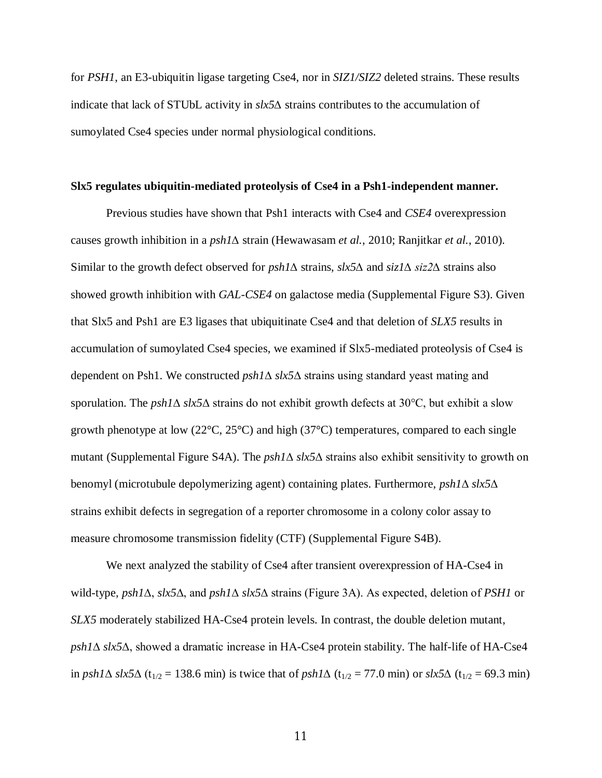for *PSH1*, an E3-ubiquitin ligase targeting Cse4, nor in *SIZ1/SIZ2* deleted strains. These results indicate that lack of STUbL activity in *slx5∆* strains contributes to the accumulation of sumoylated Cse4 species under normal physiological conditions.

#### **Slx5 regulates ubiquitin-mediated proteolysis of Cse4 in a Psh1-independent manner.**

Previous studies have shown that Psh1 interacts with Cse4 and *CSE4* overexpression causes growth inhibition in a *psh1∆* strain (Hewawasam *et al.*, 2010; Ranjitkar *et al.*, 2010). Similar to the growth defect observed for *psh1∆* strains, *slx5∆* and *siz1∆ siz2∆* strains also showed growth inhibition with *GAL-CSE4* on galactose media (Supplemental Figure S3). Given that Slx5 and Psh1 are E3 ligases that ubiquitinate Cse4 and that deletion of *SLX5* results in accumulation of sumoylated Cse4 species, we examined if Slx5-mediated proteolysis of Cse4 is dependent on Psh1. We constructed *psh1*∆ *slx5*∆ strains using standard yeast mating and sporulation. The *psh1*∆ *slx5*∆ strains do not exhibit growth defects at 30°C, but exhibit a slow growth phenotype at low ( $22^{\circ}$ C,  $25^{\circ}$ C) and high ( $37^{\circ}$ C) temperatures, compared to each single mutant (Supplemental Figure S4A). The *psh1*∆ *slx5*∆ strains also exhibit sensitivity to growth on benomyl (microtubule depolymerizing agent) containing plates. Furthermore, *psh1*∆ *slx5*∆ strains exhibit defects in segregation of a reporter chromosome in a colony color assay to measure chromosome transmission fidelity (CTF) (Supplemental Figure S4B).

We next analyzed the stability of Cse4 after transient overexpression of HA-Cse4 in wild-type, *psh1*∆, *slx5*∆, and *psh1*∆ *slx5*∆ strains (Figure 3A). As expected, deletion of *PSH1* or *SLX5* moderately stabilized HA-Cse4 protein levels. In contrast, the double deletion mutant, *psh1*∆ *slx5*∆, showed a dramatic increase in HA-Cse4 protein stability. The half-life of HA-Cse4 in *psh1*∆ *slx5*∆ (t<sub>1/2</sub> = 138.6 min) is twice that of *psh1*∆ (t<sub>1/2</sub> = 77.0 min) or *slx5*∆ (t<sub>1/2</sub> = 69.3 min)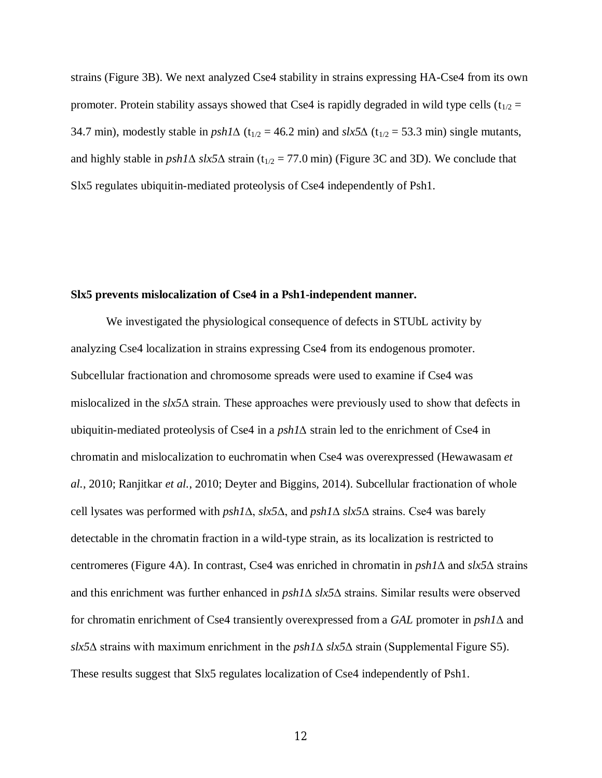strains (Figure 3B). We next analyzed Cse4 stability in strains expressing HA-Cse4 from its own promoter. Protein stability assays showed that Cse4 is rapidly degraded in wild type cells  $(t_{1/2} =$ 34.7 min), modestly stable in  $psh1\Delta$  (t<sub>1/2</sub> = 46.2 min) and  $slx5\Delta$  (t<sub>1/2</sub> = 53.3 min) single mutants, and highly stable in  $psh1\Delta$  *slx5* $\Delta$  strain (t<sub>1/2</sub> = 77.0 min) (Figure 3C and 3D). We conclude that Slx5 regulates ubiquitin-mediated proteolysis of Cse4 independently of Psh1.

#### **Slx5 prevents mislocalization of Cse4 in a Psh1-independent manner.**

We investigated the physiological consequence of defects in STUbL activity by analyzing Cse4 localization in strains expressing Cse4 from its endogenous promoter. Subcellular fractionation and chromosome spreads were used to examine if Cse4 was mislocalized in the *slx5*∆ strain. These approaches were previously used to show that defects in ubiquitin-mediated proteolysis of Cse4 in a *psh1∆* strain led to the enrichment of Cse4 in chromatin and mislocalization to euchromatin when Cse4 was overexpressed (Hewawasam *et al.*, 2010; Ranjitkar *et al.*, 2010; Deyter and Biggins, 2014). Subcellular fractionation of whole cell lysates was performed with *psh1*∆, *slx5*∆, and *psh1*∆ *slx5*∆ strains. Cse4 was barely detectable in the chromatin fraction in a wild-type strain, as its localization is restricted to centromeres (Figure 4A). In contrast, Cse4 was enriched in chromatin in *psh1*∆ and *slx5*∆ strains and this enrichment was further enhanced in *psh1*∆ *slx5*∆ strains. Similar results were observed for chromatin enrichment of Cse4 transiently overexpressed from a *GAL* promoter in *psh1*∆ and *slx5*∆ strains with maximum enrichment in the *psh1*∆ *slx5*∆ strain (Supplemental Figure S5). These results suggest that Slx5 regulates localization of Cse4 independently of Psh1.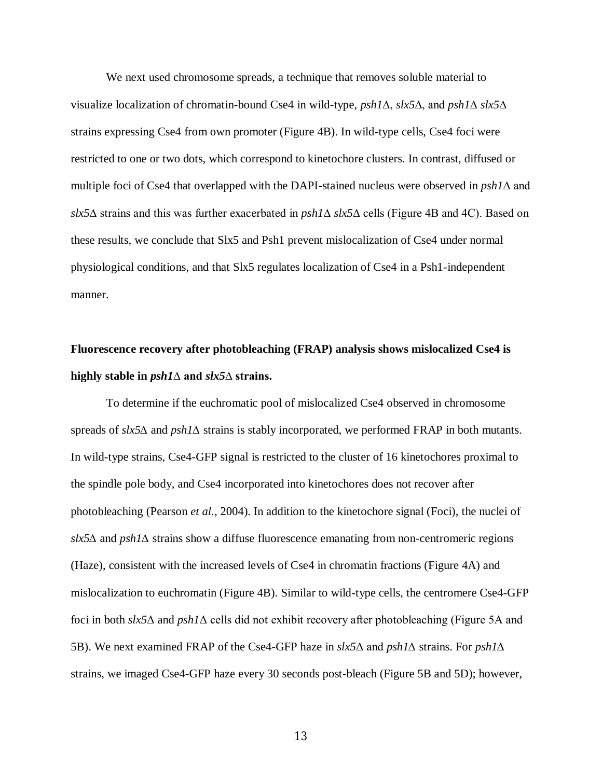We next used chromosome spreads, a technique that removes soluble material to visualize localization of chromatin-bound Cse4 in wild-type, *psh1*∆, *slx5*∆, and *psh1*∆ *slx5*∆ strains expressing Cse4 from own promoter (Figure 4B). In wild-type cells, Cse4 foci were restricted to one or two dots, which correspond to kinetochore clusters. In contrast, diffused or multiple foci of Cse4 that overlapped with the DAPI-stained nucleus were observed in *psh1*∆ and *slx5*∆ strains and this was further exacerbated in *psh1*∆ *slx5*∆ cells (Figure 4B and 4C). Based on these results, we conclude that Slx5 and Psh1 prevent mislocalization of Cse4 under normal physiological conditions, and that Slx5 regulates localization of Cse4 in a Psh1-independent manner.

# **Fluorescence recovery after photobleaching (FRAP) analysis shows mislocalized Cse4 is highly stable in** *psh1***∆ and** *slx5***∆ strains.**

To determine if the euchromatic pool of mislocalized Cse4 observed in chromosome spreads of *slx5∆* and *psh1∆* strains is stably incorporated, we performed FRAP in both mutants. In wild-type strains, Cse4-GFP signal is restricted to the cluster of 16 kinetochores proximal to the spindle pole body, and Cse4 incorporated into kinetochores does not recover after photobleaching (Pearson *et al.*, 2004). In addition to the kinetochore signal (Foci), the nuclei of *slx5∆* and *psh1∆* strains show a diffuse fluorescence emanating from non-centromeric regions (Haze), consistent with the increased levels of Cse4 in chromatin fractions (Figure 4A) and mislocalization to euchromatin (Figure 4B). Similar to wild-type cells, the centromere Cse4-GFP foci in both *slx5*Δ and *psh1*Δ cells did not exhibit recovery after photobleaching (Figure 5A and 5B). We next examined FRAP of the Cse4-GFP haze in *slx5*Δ and *psh1∆* strains. For *psh1∆* strains, we imaged Cse4-GFP haze every 30 seconds post-bleach (Figure 5B and 5D); however,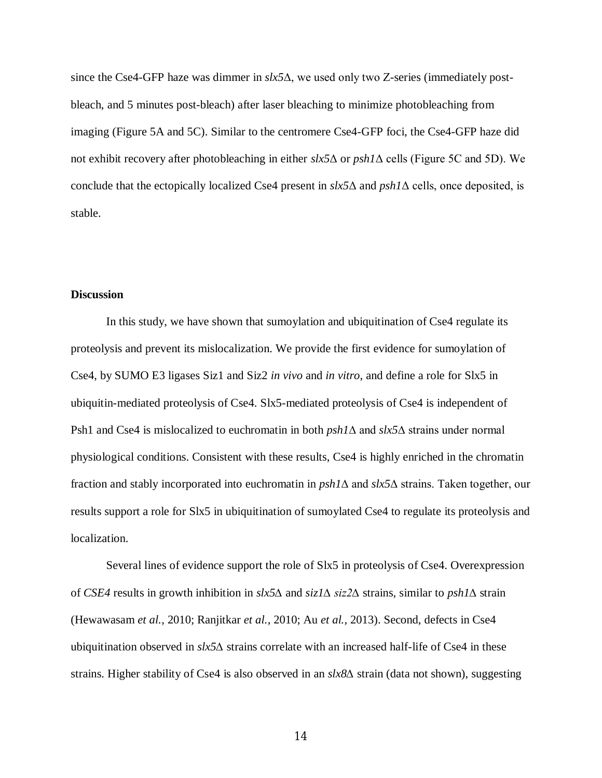since the Cse4-GFP haze was dimmer in *slx5*∆, we used only two Z-series (immediately postbleach, and 5 minutes post-bleach) after laser bleaching to minimize photobleaching from imaging (Figure 5A and 5C). Similar to the centromere Cse4-GFP foci, the Cse4-GFP haze did not exhibit recovery after photobleaching in either *slx5*Δ or *psh1*Δ cells (Figure 5C and 5D). We conclude that the ectopically localized Cse4 present in *slx5*Δ and *psh1*Δ cells, once deposited, is stable.

## **Discussion**

In this study, we have shown that sumoylation and ubiquitination of Cse4 regulate its proteolysis and prevent its mislocalization. We provide the first evidence for sumoylation of Cse4, by SUMO E3 ligases Siz1 and Siz2 *in vivo* and *in vitro*, and define a role for Slx5 in ubiquitin-mediated proteolysis of Cse4. Slx5-mediated proteolysis of Cse4 is independent of Psh1 and Cse4 is mislocalized to euchromatin in both *psh1*∆ and *slx5*∆ strains under normal physiological conditions. Consistent with these results, Cse4 is highly enriched in the chromatin fraction and stably incorporated into euchromatin in *psh1*∆ and *slx5*∆ strains. Taken together, our results support a role for Slx5 in ubiquitination of sumoylated Cse4 to regulate its proteolysis and localization.

Several lines of evidence support the role of Slx5 in proteolysis of Cse4. Overexpression of *CSE4* results in growth inhibition in *slx5∆* and *siz1∆ siz2∆* strains, similar to *psh1∆* strain (Hewawasam *et al.*, 2010; Ranjitkar *et al.*, 2010; Au *et al.*, 2013). Second, defects in Cse4 ubiquitination observed in *slx5∆* strains correlate with an increased half-life of Cse4 in these strains. Higher stability of Cse4 is also observed in an *slx8∆* strain (data not shown), suggesting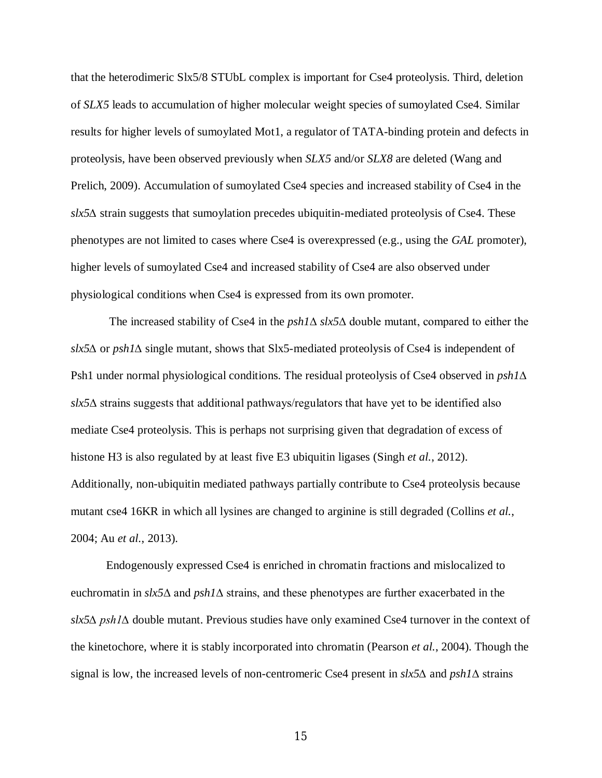that the heterodimeric Slx5/8 STUbL complex is important for Cse4 proteolysis. Third, deletion of *SLX5* leads to accumulation of higher molecular weight species of sumoylated Cse4. Similar results for higher levels of sumoylated Mot1, a regulator of TATA-binding protein and defects in proteolysis, have been observed previously when *SLX5* and/or *SLX8* are deleted (Wang and Prelich, 2009). Accumulation of sumoylated Cse4 species and increased stability of Cse4 in the *slx5∆* strain suggests that sumoylation precedes ubiquitin-mediated proteolysis of Cse4. These phenotypes are not limited to cases where Cse4 is overexpressed (e.g., using the *GAL* promoter), higher levels of sumoylated Cse4 and increased stability of Cse4 are also observed under physiological conditions when Cse4 is expressed from its own promoter.

 The increased stability of Cse4 in the *psh1*∆ *slx5*∆ double mutant, compared to either the *slx5∆* or *psh1∆* single mutant, shows that Slx5-mediated proteolysis of Cse4 is independent of Psh1 under normal physiological conditions. The residual proteolysis of Cse4 observed in *psh1*∆ *slx5*∆ strains suggests that additional pathways/regulators that have yet to be identified also mediate Cse4 proteolysis. This is perhaps not surprising given that degradation of excess of histone H3 is also regulated by at least five E3 ubiquitin ligases (Singh *et al.*, 2012). Additionally, non-ubiquitin mediated pathways partially contribute to Cse4 proteolysis because mutant cse4 16KR in which all lysines are changed to arginine is still degraded (Collins *et al.*, 2004; Au *et al.*, 2013).

Endogenously expressed Cse4 is enriched in chromatin fractions and mislocalized to euchromatin in *slx5*∆ and *psh1*∆ strains, and these phenotypes are further exacerbated in the *slx5*∆ *psh1*∆ double mutant. Previous studies have only examined Cse4 turnover in the context of the kinetochore, where it is stably incorporated into chromatin (Pearson *et al.*, 2004). Though the signal is low, the increased levels of non-centromeric Cse4 present in *slx5∆* and *psh1*∆ strains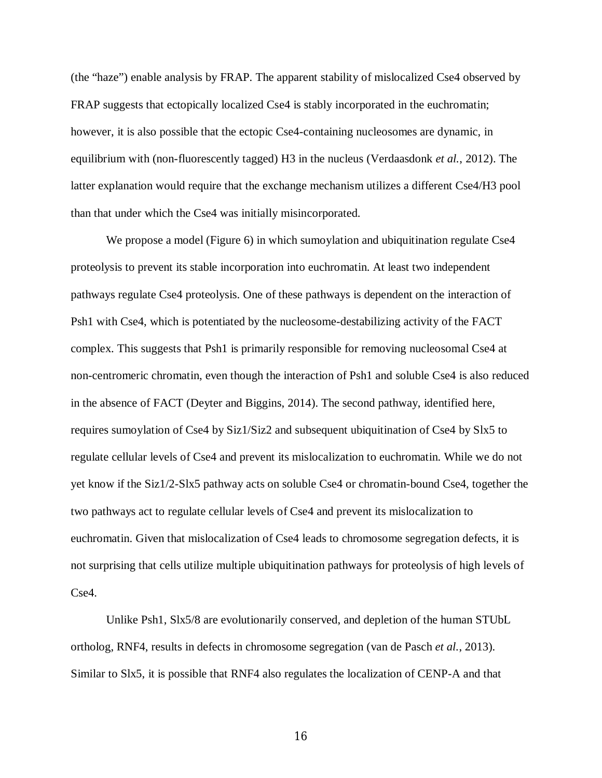(the "haze") enable analysis by FRAP. The apparent stability of mislocalized Cse4 observed by FRAP suggests that ectopically localized Cse4 is stably incorporated in the euchromatin; however, it is also possible that the ectopic Cse4-containing nucleosomes are dynamic, in equilibrium with (non-fluorescently tagged) H3 in the nucleus (Verdaasdonk *et al.*, 2012). The latter explanation would require that the exchange mechanism utilizes a different Cse4/H3 pool than that under which the Cse4 was initially misincorporated.

We propose a model (Figure 6) in which sumoylation and ubiquitination regulate Cse4 proteolysis to prevent its stable incorporation into euchromatin. At least two independent pathways regulate Cse4 proteolysis. One of these pathways is dependent on the interaction of Psh1 with Cse4, which is potentiated by the nucleosome-destabilizing activity of the FACT complex. This suggests that Psh1 is primarily responsible for removing nucleosomal Cse4 at non-centromeric chromatin, even though the interaction of Psh1 and soluble Cse4 is also reduced in the absence of FACT (Deyter and Biggins, 2014). The second pathway, identified here, requires sumoylation of Cse4 by Siz1/Siz2 and subsequent ubiquitination of Cse4 by Slx5 to regulate cellular levels of Cse4 and prevent its mislocalization to euchromatin. While we do not yet know if the Siz1/2-Slx5 pathway acts on soluble Cse4 or chromatin-bound Cse4, together the two pathways act to regulate cellular levels of Cse4 and prevent its mislocalization to euchromatin. Given that mislocalization of Cse4 leads to chromosome segregation defects, it is not surprising that cells utilize multiple ubiquitination pathways for proteolysis of high levels of Cse4.

Unlike Psh1, Slx5/8 are evolutionarily conserved, and depletion of the human STUbL ortholog, RNF4, results in defects in chromosome segregation (van de Pasch *et al.*, 2013). Similar to Slx5, it is possible that RNF4 also regulates the localization of CENP-A and that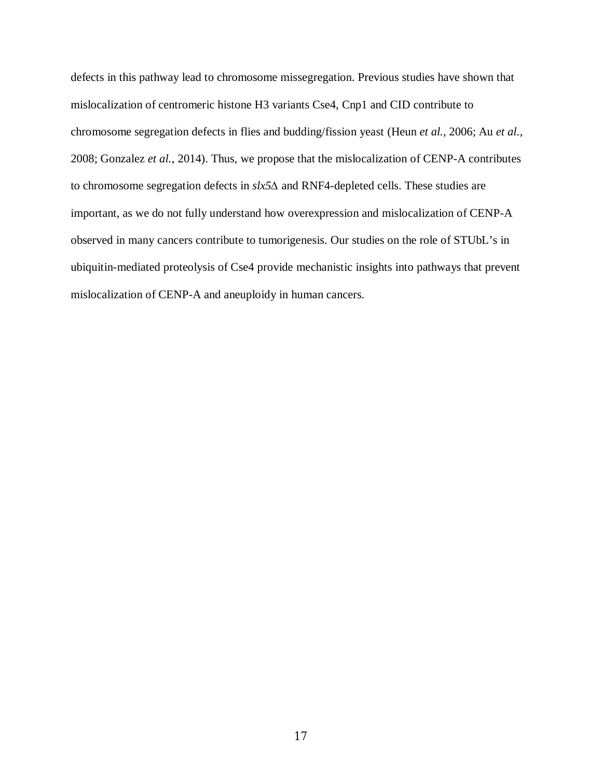defects in this pathway lead to chromosome missegregation. Previous studies have shown that mislocalization of centromeric histone H3 variants Cse4, Cnp1 and CID contribute to chromosome segregation defects in flies and budding/fission yeast (Heun *et al.*, 2006; Au *et al.*, 2008; Gonzalez *et al.*, 2014). Thus, we propose that the mislocalization of CENP-A contributes to chromosome segregation defects in *slx5∆* and RNF4-depleted cells. These studies are important, as we do not fully understand how overexpression and mislocalization of CENP-A observed in many cancers contribute to tumorigenesis. Our studies on the role of STUbL's in ubiquitin-mediated proteolysis of Cse4 provide mechanistic insights into pathways that prevent mislocalization of CENP-A and aneuploidy in human cancers.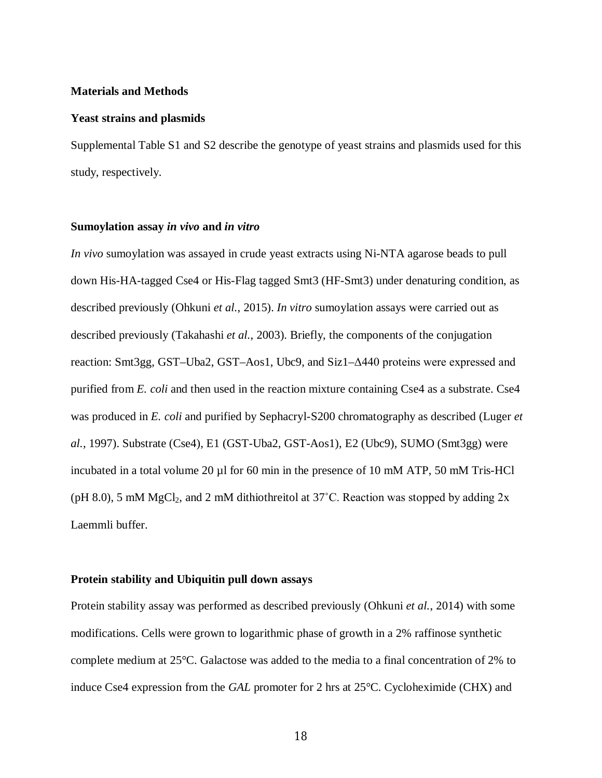#### **Materials and Methods**

#### **Yeast strains and plasmids**

Supplemental Table S1 and S2 describe the genotype of yeast strains and plasmids used for this study, respectively.

#### **Sumoylation assay** *in vivo* **and** *in vitro*

*In vivo* sumoylation was assayed in crude yeast extracts using Ni-NTA agarose beads to pull down His-HA-tagged Cse4 or His-Flag tagged Smt3 (HF-Smt3) under denaturing condition, as described previously (Ohkuni *et al.*, 2015). *In vitro* sumoylation assays were carried out as described previously (Takahashi *et al.*, 2003). Briefly, the components of the conjugation reaction: Smt3gg, GST–Uba2, GST–Aos1, Ubc9, and Siz1–Δ440 proteins were expressed and purified from *E. coli* and then used in the reaction mixture containing Cse4 as a substrate. Cse4 was produced in *E. coli* and purified by Sephacryl-S200 chromatography as described (Luger *et al.*, 1997). Substrate (Cse4), E1 (GST-Uba2, GST-Aos1), E2 (Ubc9), SUMO (Smt3gg) were incubated in a total volume 20 µl for 60 min in the presence of 10 mM ATP, 50 mM Tris-HCl (pH 8.0), 5 mM MgCl<sub>2</sub>, and 2 mM dithiothreitol at  $37^{\circ}$ C. Reaction was stopped by adding 2x Laemmli buffer.

#### **Protein stability and Ubiquitin pull down assays**

Protein stability assay was performed as described previously (Ohkuni *et al.*, 2014) with some modifications. Cells were grown to logarithmic phase of growth in a 2% raffinose synthetic complete medium at 25°C. Galactose was added to the media to a final concentration of 2% to induce Cse4 expression from the *GAL* promoter for 2 hrs at 25°C. Cycloheximide (CHX) and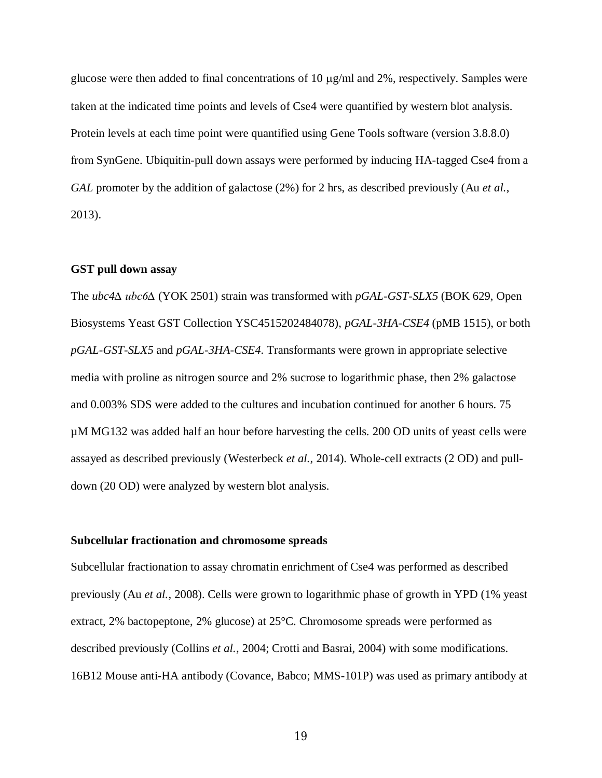glucose were then added to final concentrations of 10  $\mu$ g/ml and 2%, respectively. Samples were taken at the indicated time points and levels of Cse4 were quantified by western blot analysis. Protein levels at each time point were quantified using Gene Tools software (version 3.8.8.0) from SynGene. Ubiquitin-pull down assays were performed by inducing HA-tagged Cse4 from a *GAL* promoter by the addition of galactose (2%) for 2 hrs, as described previously (Au *et al.*, 2013).

### **GST pull down assay**

The *ubc4∆ ubc6∆* (YOK 2501) strain was transformed with *pGAL-GST-SLX5* (BOK 629, Open Biosystems Yeast GST Collection YSC4515202484078), *pGAL-3HA-CSE4* (pMB 1515), or both *pGAL-GST-SLX5* and *pGAL-3HA-CSE4*. Transformants were grown in appropriate selective media with proline as nitrogen source and 2% sucrose to logarithmic phase, then 2% galactose and 0.003% SDS were added to the cultures and incubation continued for another 6 hours. 75 µM MG132 was added half an hour before harvesting the cells. 200 OD units of yeast cells were assayed as described previously (Westerbeck *et al.*, 2014). Whole-cell extracts (2 OD) and pulldown (20 OD) were analyzed by western blot analysis.

#### **Subcellular fractionation and chromosome spreads**

Subcellular fractionation to assay chromatin enrichment of Cse4 was performed as described previously (Au *et al.*, 2008). Cells were grown to logarithmic phase of growth in YPD (1% yeast extract, 2% bactopeptone, 2% glucose) at 25°C. Chromosome spreads were performed as described previously (Collins *et al.*, 2004; Crotti and Basrai, 2004) with some modifications. 16B12 Mouse anti-HA antibody (Covance, Babco; MMS-101P) was used as primary antibody at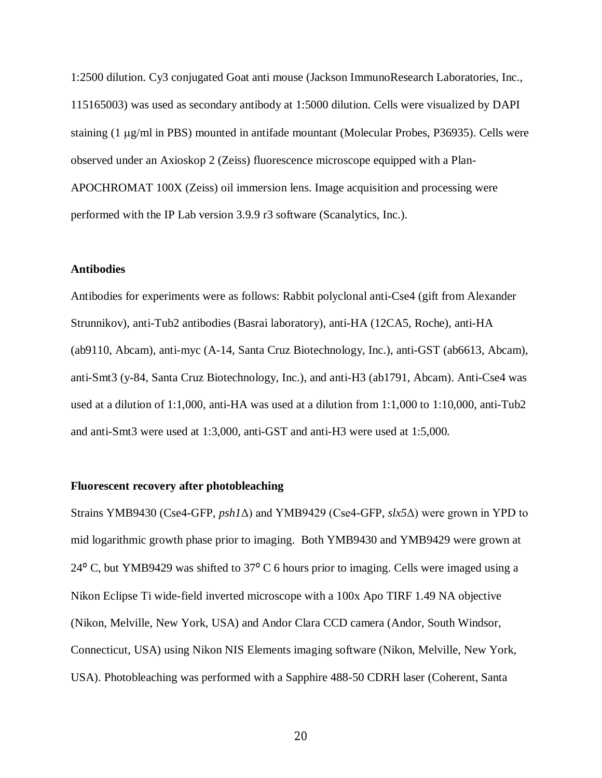1:2500 dilution. Cy3 conjugated Goat anti mouse (Jackson ImmunoResearch Laboratories, Inc., 115165003) was used as secondary antibody at 1:5000 dilution. Cells were visualized by DAPI staining (1 µg/ml in PBS) mounted in antifade mountant (Molecular Probes, P36935). Cells were observed under an Axioskop 2 (Zeiss) fluorescence microscope equipped with a Plan-APOCHROMAT 100X (Zeiss) oil immersion lens. Image acquisition and processing were performed with the IP Lab version 3.9.9 r3 software (Scanalytics, Inc.).

#### **Antibodies**

Antibodies for experiments were as follows: Rabbit polyclonal anti-Cse4 (gift from Alexander Strunnikov), anti-Tub2 antibodies (Basrai laboratory), anti-HA (12CA5, Roche), anti-HA (ab9110, Abcam), anti-myc (A-14, Santa Cruz Biotechnology, Inc.), anti-GST (ab6613, Abcam), anti-Smt3 (y-84, Santa Cruz Biotechnology, Inc.), and anti-H3 (ab1791, Abcam). Anti-Cse4 was used at a dilution of 1:1,000, anti-HA was used at a dilution from 1:1,000 to 1:10,000, anti-Tub2 and anti-Smt3 were used at 1:3,000, anti-GST and anti-H3 were used at 1:5,000.

## **Fluorescent recovery after photobleaching**

Strains YMB9430 (Cse4-GFP, *psh1*Δ) and YMB9429 (Cse4-GFP, *slx5*Δ) were grown in YPD to mid logarithmic growth phase prior to imaging. Both YMB9430 and YMB9429 were grown at 24 $^{\circ}$  C, but YMB9429 was shifted to 37 $^{\circ}$  C 6 hours prior to imaging. Cells were imaged using a Nikon Eclipse Ti wide-field inverted microscope with a 100x Apo TIRF 1.49 NA objective (Nikon, Melville, New York, USA) and Andor Clara CCD camera (Andor, South Windsor, Connecticut, USA) using Nikon NIS Elements imaging software (Nikon, Melville, New York, USA). Photobleaching was performed with a Sapphire 488-50 CDRH laser (Coherent, Santa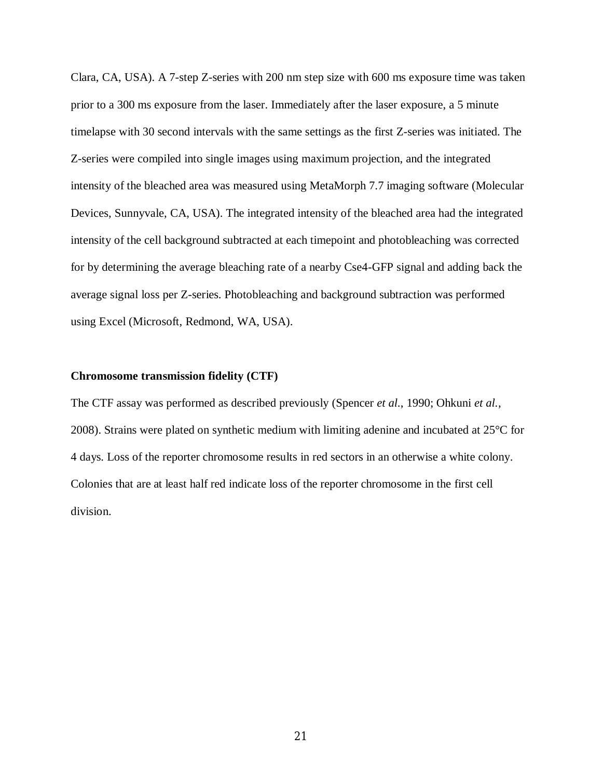Clara, CA, USA). A 7-step Z-series with 200 nm step size with 600 ms exposure time was taken prior to a 300 ms exposure from the laser. Immediately after the laser exposure, a 5 minute timelapse with 30 second intervals with the same settings as the first Z-series was initiated. The Z-series were compiled into single images using maximum projection, and the integrated intensity of the bleached area was measured using MetaMorph 7.7 imaging software (Molecular Devices, Sunnyvale, CA, USA). The integrated intensity of the bleached area had the integrated intensity of the cell background subtracted at each timepoint and photobleaching was corrected for by determining the average bleaching rate of a nearby Cse4-GFP signal and adding back the average signal loss per Z-series. Photobleaching and background subtraction was performed using Excel (Microsoft, Redmond, WA, USA).

#### **Chromosome transmission fidelity (CTF)**

The CTF assay was performed as described previously (Spencer *et al.*, 1990; Ohkuni *et al.*, 2008). Strains were plated on synthetic medium with limiting adenine and incubated at 25°C for 4 days. Loss of the reporter chromosome results in red sectors in an otherwise a white colony. Colonies that are at least half red indicate loss of the reporter chromosome in the first cell division.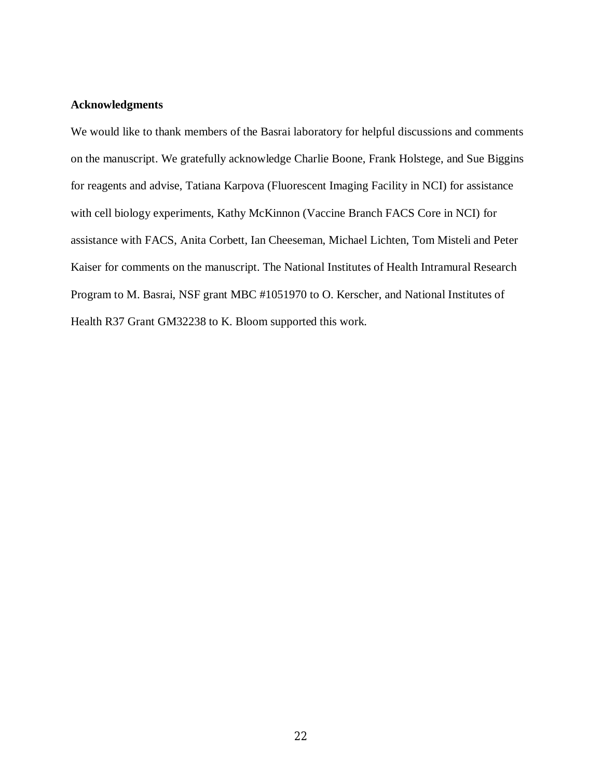## **Acknowledgments**

We would like to thank members of the Basrai laboratory for helpful discussions and comments on the manuscript. We gratefully acknowledge Charlie Boone, Frank Holstege, and Sue Biggins for reagents and advise, Tatiana Karpova (Fluorescent Imaging Facility in NCI) for assistance with cell biology experiments, Kathy McKinnon (Vaccine Branch FACS Core in NCI) for assistance with FACS, Anita Corbett, Ian Cheeseman, Michael Lichten, Tom Misteli and Peter Kaiser for comments on the manuscript. The National Institutes of Health Intramural Research Program to M. Basrai, NSF grant MBC #1051970 to O. Kerscher, and National Institutes of Health R37 Grant GM32238 to K. Bloom supported this work.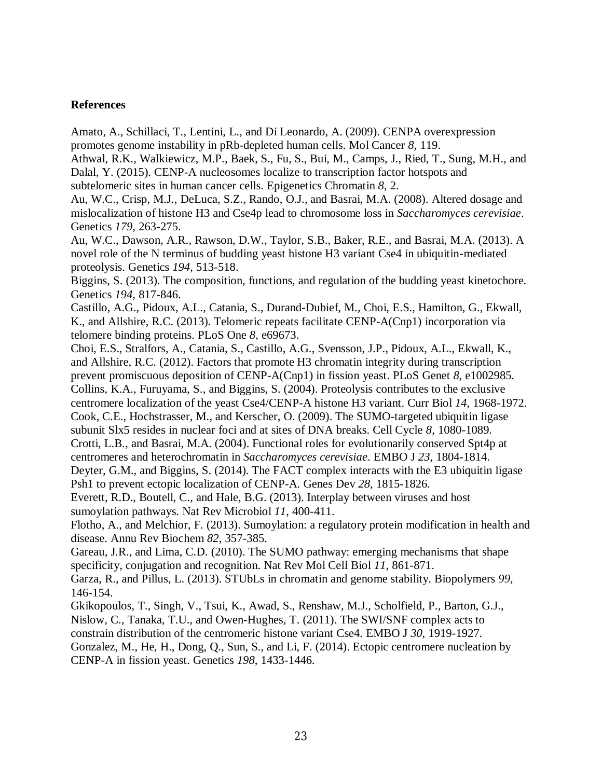## **References**

Amato, A., Schillaci, T., Lentini, L., and Di Leonardo, A. (2009). CENPA overexpression promotes genome instability in pRb-depleted human cells. Mol Cancer *8*, 119.

Athwal, R.K., Walkiewicz, M.P., Baek, S., Fu, S., Bui, M., Camps, J., Ried, T., Sung, M.H., and Dalal, Y. (2015). CENP-A nucleosomes localize to transcription factor hotspots and subtelomeric sites in human cancer cells. Epigenetics Chromatin *8*, 2.

Au, W.C., Crisp, M.J., DeLuca, S.Z., Rando, O.J., and Basrai, M.A. (2008). Altered dosage and mislocalization of histone H3 and Cse4p lead to chromosome loss in *Saccharomyces cerevisiae*. Genetics *179*, 263-275.

Au, W.C., Dawson, A.R., Rawson, D.W., Taylor, S.B., Baker, R.E., and Basrai, M.A. (2013). A novel role of the N terminus of budding yeast histone H3 variant Cse4 in ubiquitin-mediated proteolysis. Genetics *194*, 513-518.

Biggins, S. (2013). The composition, functions, and regulation of the budding yeast kinetochore. Genetics *194*, 817-846.

Castillo, A.G., Pidoux, A.L., Catania, S., Durand-Dubief, M., Choi, E.S., Hamilton, G., Ekwall, K., and Allshire, R.C. (2013). Telomeric repeats facilitate CENP-A(Cnp1) incorporation via telomere binding proteins. PLoS One *8*, e69673.

Choi, E.S., Stralfors, A., Catania, S., Castillo, A.G., Svensson, J.P., Pidoux, A.L., Ekwall, K., and Allshire, R.C. (2012). Factors that promote H3 chromatin integrity during transcription prevent promiscuous deposition of CENP-A(Cnp1) in fission yeast. PLoS Genet *8*, e1002985. Collins, K.A., Furuyama, S., and Biggins, S. (2004). Proteolysis contributes to the exclusive centromere localization of the yeast Cse4/CENP-A histone H3 variant. Curr Biol *14*, 1968-1972. Cook, C.E., Hochstrasser, M., and Kerscher, O. (2009). The SUMO-targeted ubiquitin ligase subunit Slx5 resides in nuclear foci and at sites of DNA breaks. Cell Cycle *8*, 1080-1089. Crotti, L.B., and Basrai, M.A. (2004). Functional roles for evolutionarily conserved Spt4p at centromeres and heterochromatin in *Saccharomyces cerevisiae*. EMBO J *23*, 1804-1814. Deyter, G.M., and Biggins, S. (2014). The FACT complex interacts with the E3 ubiquitin ligase

Psh1 to prevent ectopic localization of CENP-A. Genes Dev *28*, 1815-1826. Everett, R.D., Boutell, C., and Hale, B.G. (2013). Interplay between viruses and host sumoylation pathways. Nat Rev Microbiol *11*, 400-411.

Flotho, A., and Melchior, F. (2013). Sumoylation: a regulatory protein modification in health and disease. Annu Rev Biochem *82*, 357-385.

Gareau, J.R., and Lima, C.D. (2010). The SUMO pathway: emerging mechanisms that shape specificity, conjugation and recognition. Nat Rev Mol Cell Biol *11*, 861-871.

Garza, R., and Pillus, L. (2013). STUbLs in chromatin and genome stability. Biopolymers *99*, 146-154.

Gkikopoulos, T., Singh, V., Tsui, K., Awad, S., Renshaw, M.J., Scholfield, P., Barton, G.J., Nislow, C., Tanaka, T.U., and Owen-Hughes, T. (2011). The SWI/SNF complex acts to constrain distribution of the centromeric histone variant Cse4. EMBO J *30*, 1919-1927. Gonzalez, M., He, H., Dong, Q., Sun, S., and Li, F. (2014). Ectopic centromere nucleation by CENP-A in fission yeast. Genetics *198*, 1433-1446.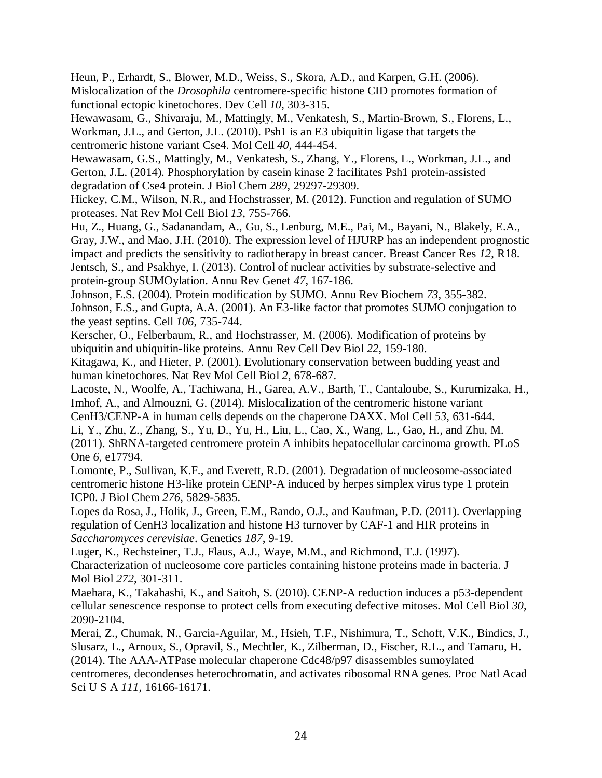Heun, P., Erhardt, S., Blower, M.D., Weiss, S., Skora, A.D., and Karpen, G.H. (2006). Mislocalization of the *Drosophila* centromere-specific histone CID promotes formation of functional ectopic kinetochores. Dev Cell *10*, 303-315.

Hewawasam, G., Shivaraju, M., Mattingly, M., Venkatesh, S., Martin-Brown, S., Florens, L., Workman, J.L., and Gerton, J.L. (2010). Psh1 is an E3 ubiquitin ligase that targets the centromeric histone variant Cse4. Mol Cell *40*, 444-454.

Hewawasam, G.S., Mattingly, M., Venkatesh, S., Zhang, Y., Florens, L., Workman, J.L., and Gerton, J.L. (2014). Phosphorylation by casein kinase 2 facilitates Psh1 protein-assisted degradation of Cse4 protein. J Biol Chem *289*, 29297-29309.

Hickey, C.M., Wilson, N.R., and Hochstrasser, M. (2012). Function and regulation of SUMO proteases. Nat Rev Mol Cell Biol *13*, 755-766.

Hu, Z., Huang, G., Sadanandam, A., Gu, S., Lenburg, M.E., Pai, M., Bayani, N., Blakely, E.A., Gray, J.W., and Mao, J.H. (2010). The expression level of HJURP has an independent prognostic impact and predicts the sensitivity to radiotherapy in breast cancer. Breast Cancer Res *12*, R18. Jentsch, S., and Psakhye, I. (2013). Control of nuclear activities by substrate-selective and protein-group SUMOylation. Annu Rev Genet *47*, 167-186.

Johnson, E.S. (2004). Protein modification by SUMO. Annu Rev Biochem *73*, 355-382. Johnson, E.S., and Gupta, A.A. (2001). An E3-like factor that promotes SUMO conjugation to the yeast septins. Cell *106*, 735-744.

Kerscher, O., Felberbaum, R., and Hochstrasser, M. (2006). Modification of proteins by ubiquitin and ubiquitin-like proteins. Annu Rev Cell Dev Biol *22*, 159-180.

Kitagawa, K., and Hieter, P. (2001). Evolutionary conservation between budding yeast and human kinetochores. Nat Rev Mol Cell Biol *2*, 678-687.

Lacoste, N., Woolfe, A., Tachiwana, H., Garea, A.V., Barth, T., Cantaloube, S., Kurumizaka, H., Imhof, A., and Almouzni, G. (2014). Mislocalization of the centromeric histone variant CenH3/CENP-A in human cells depends on the chaperone DAXX. Mol Cell *53*, 631-644.

Li, Y., Zhu, Z., Zhang, S., Yu, D., Yu, H., Liu, L., Cao, X., Wang, L., Gao, H., and Zhu, M. (2011). ShRNA-targeted centromere protein A inhibits hepatocellular carcinoma growth. PLoS One *6*, e17794.

Lomonte, P., Sullivan, K.F., and Everett, R.D. (2001). Degradation of nucleosome-associated centromeric histone H3-like protein CENP-A induced by herpes simplex virus type 1 protein ICP0. J Biol Chem *276*, 5829-5835.

Lopes da Rosa, J., Holik, J., Green, E.M., Rando, O.J., and Kaufman, P.D. (2011). Overlapping regulation of CenH3 localization and histone H3 turnover by CAF-1 and HIR proteins in *Saccharomyces cerevisiae*. Genetics *187*, 9-19.

Luger, K., Rechsteiner, T.J., Flaus, A.J., Waye, M.M., and Richmond, T.J. (1997). Characterization of nucleosome core particles containing histone proteins made in bacteria. J Mol Biol *272*, 301-311.

Maehara, K., Takahashi, K., and Saitoh, S. (2010). CENP-A reduction induces a p53-dependent cellular senescence response to protect cells from executing defective mitoses. Mol Cell Biol *30*, 2090-2104.

Merai, Z., Chumak, N., Garcia-Aguilar, M., Hsieh, T.F., Nishimura, T., Schoft, V.K., Bindics, J., Slusarz, L., Arnoux, S., Opravil, S., Mechtler, K., Zilberman, D., Fischer, R.L., and Tamaru, H. (2014). The AAA-ATPase molecular chaperone Cdc48/p97 disassembles sumoylated centromeres, decondenses heterochromatin, and activates ribosomal RNA genes. Proc Natl Acad Sci U S A *111*, 16166-16171.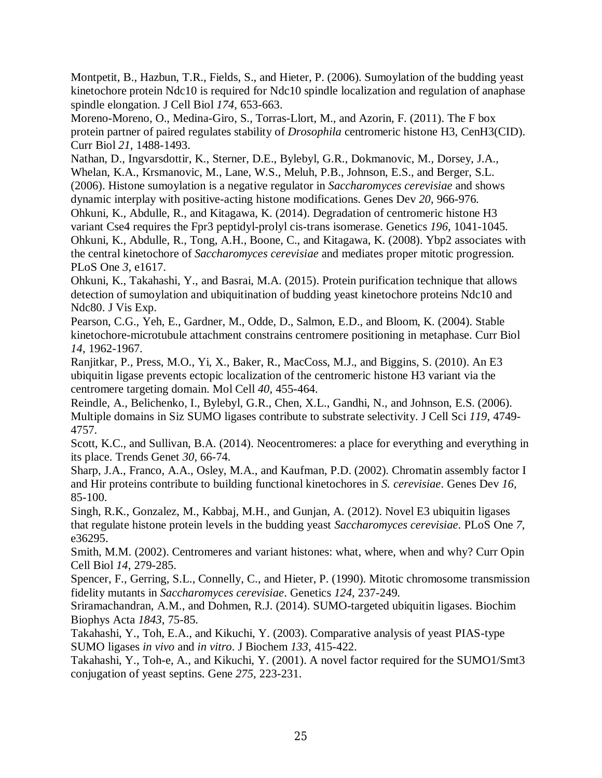Montpetit, B., Hazbun, T.R., Fields, S., and Hieter, P. (2006). Sumoylation of the budding yeast kinetochore protein Ndc10 is required for Ndc10 spindle localization and regulation of anaphase spindle elongation. J Cell Biol *174*, 653-663.

Moreno-Moreno, O., Medina-Giro, S., Torras-Llort, M., and Azorin, F. (2011). The F box protein partner of paired regulates stability of *Drosophila* centromeric histone H3, CenH3(CID). Curr Biol *21*, 1488-1493.

Nathan, D., Ingvarsdottir, K., Sterner, D.E., Bylebyl, G.R., Dokmanovic, M., Dorsey, J.A., Whelan, K.A., Krsmanovic, M., Lane, W.S., Meluh, P.B., Johnson, E.S., and Berger, S.L. (2006). Histone sumoylation is a negative regulator in *Saccharomyces cerevisiae* and shows dynamic interplay with positive-acting histone modifications. Genes Dev *20*, 966-976.

Ohkuni, K., Abdulle, R., and Kitagawa, K. (2014). Degradation of centromeric histone H3 variant Cse4 requires the Fpr3 peptidyl-prolyl cis-trans isomerase. Genetics *196*, 1041-1045. Ohkuni, K., Abdulle, R., Tong, A.H., Boone, C., and Kitagawa, K. (2008). Ybp2 associates with the central kinetochore of *Saccharomyces cerevisiae* and mediates proper mitotic progression. PLoS One *3*, e1617.

Ohkuni, K., Takahashi, Y., and Basrai, M.A. (2015). Protein purification technique that allows detection of sumoylation and ubiquitination of budding yeast kinetochore proteins Ndc10 and Ndc80. J Vis Exp.

Pearson, C.G., Yeh, E., Gardner, M., Odde, D., Salmon, E.D., and Bloom, K. (2004). Stable kinetochore-microtubule attachment constrains centromere positioning in metaphase. Curr Biol *14*, 1962-1967.

Ranjitkar, P., Press, M.O., Yi, X., Baker, R., MacCoss, M.J., and Biggins, S. (2010). An E3 ubiquitin ligase prevents ectopic localization of the centromeric histone H3 variant via the centromere targeting domain. Mol Cell *40*, 455-464.

Reindle, A., Belichenko, I., Bylebyl, G.R., Chen, X.L., Gandhi, N., and Johnson, E.S. (2006). Multiple domains in Siz SUMO ligases contribute to substrate selectivity. J Cell Sci *119*, 4749- 4757.

Scott, K.C., and Sullivan, B.A. (2014). Neocentromeres: a place for everything and everything in its place. Trends Genet *30*, 66-74.

Sharp, J.A., Franco, A.A., Osley, M.A., and Kaufman, P.D. (2002). Chromatin assembly factor I and Hir proteins contribute to building functional kinetochores in *S. cerevisiae*. Genes Dev *16*, 85-100.

Singh, R.K., Gonzalez, M., Kabbaj, M.H., and Gunjan, A. (2012). Novel E3 ubiquitin ligases that regulate histone protein levels in the budding yeast *Saccharomyces cerevisiae*. PLoS One *7*, e36295.

Smith, M.M. (2002). Centromeres and variant histones: what, where, when and why? Curr Opin Cell Biol *14*, 279-285.

Spencer, F., Gerring, S.L., Connelly, C., and Hieter, P. (1990). Mitotic chromosome transmission fidelity mutants in *Saccharomyces cerevisiae*. Genetics *124*, 237-249.

Sriramachandran, A.M., and Dohmen, R.J. (2014). SUMO-targeted ubiquitin ligases. Biochim Biophys Acta *1843*, 75-85.

Takahashi, Y., Toh, E.A., and Kikuchi, Y. (2003). Comparative analysis of yeast PIAS-type SUMO ligases *in vivo* and *in vitro*. J Biochem *133*, 415-422.

Takahashi, Y., Toh-e, A., and Kikuchi, Y. (2001). A novel factor required for the SUMO1/Smt3 conjugation of yeast septins. Gene *275*, 223-231.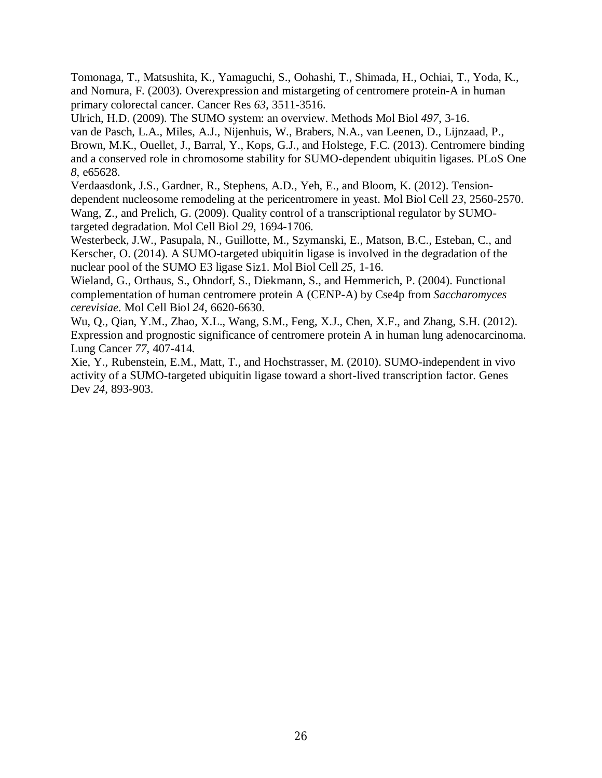Tomonaga, T., Matsushita, K., Yamaguchi, S., Oohashi, T., Shimada, H., Ochiai, T., Yoda, K., and Nomura, F. (2003). Overexpression and mistargeting of centromere protein-A in human primary colorectal cancer. Cancer Res *63*, 3511-3516.

Ulrich, H.D. (2009). The SUMO system: an overview. Methods Mol Biol *497*, 3-16.

van de Pasch, L.A., Miles, A.J., Nijenhuis, W., Brabers, N.A., van Leenen, D., Lijnzaad, P., Brown, M.K., Ouellet, J., Barral, Y., Kops, G.J., and Holstege, F.C. (2013). Centromere binding and a conserved role in chromosome stability for SUMO-dependent ubiquitin ligases. PLoS One *8*, e65628.

Verdaasdonk, J.S., Gardner, R., Stephens, A.D., Yeh, E., and Bloom, K. (2012). Tensiondependent nucleosome remodeling at the pericentromere in yeast. Mol Biol Cell *23*, 2560-2570. Wang, Z., and Prelich, G. (2009). Quality control of a transcriptional regulator by SUMOtargeted degradation. Mol Cell Biol *29*, 1694-1706.

Westerbeck, J.W., Pasupala, N., Guillotte, M., Szymanski, E., Matson, B.C., Esteban, C., and Kerscher, O. (2014). A SUMO-targeted ubiquitin ligase is involved in the degradation of the nuclear pool of the SUMO E3 ligase Siz1. Mol Biol Cell *25*, 1-16.

Wieland, G., Orthaus, S., Ohndorf, S., Diekmann, S., and Hemmerich, P. (2004). Functional complementation of human centromere protein A (CENP-A) by Cse4p from *Saccharomyces cerevisiae*. Mol Cell Biol *24*, 6620-6630.

Wu, Q., Qian, Y.M., Zhao, X.L., Wang, S.M., Feng, X.J., Chen, X.F., and Zhang, S.H. (2012). Expression and prognostic significance of centromere protein A in human lung adenocarcinoma. Lung Cancer *77*, 407-414.

Xie, Y., Rubenstein, E.M., Matt, T., and Hochstrasser, M. (2010). SUMO-independent in vivo activity of a SUMO-targeted ubiquitin ligase toward a short-lived transcription factor. Genes Dev *24*, 893-903.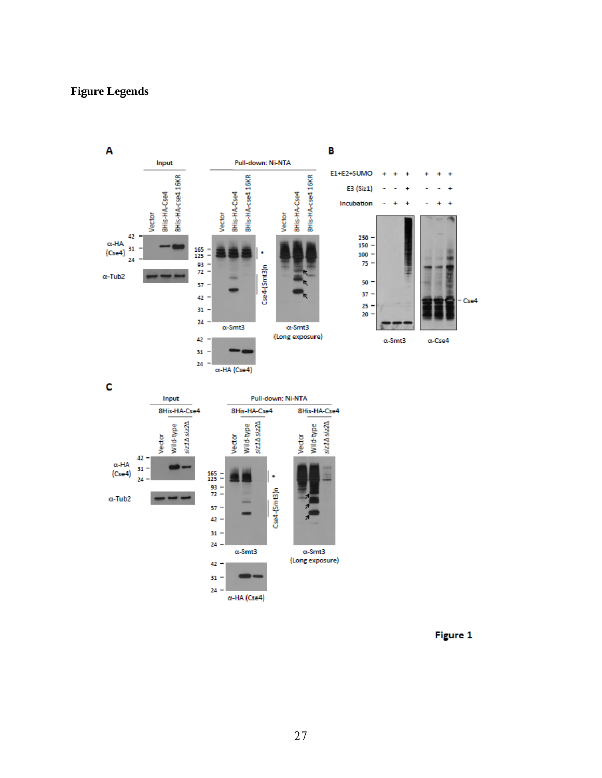## **Figure Legends**



Figure 1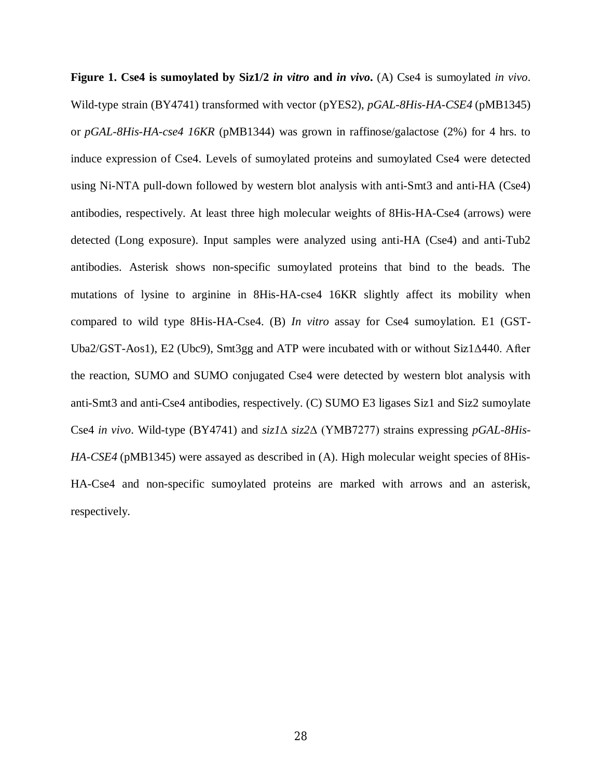**Figure 1. Cse4 is sumoylated by Siz1/2** *in vitro* **and** *in vivo***.** (A) Cse4 is sumoylated *in vivo*. Wild-type strain (BY4741) transformed with vector (pYES2), *pGAL-8His-HA-CSE4* (pMB1345) or *pGAL-8His-HA-cse4 16KR* (pMB1344) was grown in raffinose/galactose (2%) for 4 hrs. to induce expression of Cse4. Levels of sumoylated proteins and sumoylated Cse4 were detected using Ni-NTA pull-down followed by western blot analysis with anti-Smt3 and anti-HA (Cse4) antibodies, respectively. At least three high molecular weights of 8His-HA-Cse4 (arrows) were detected (Long exposure). Input samples were analyzed using anti-HA (Cse4) and anti-Tub2 antibodies. Asterisk shows non-specific sumoylated proteins that bind to the beads. The mutations of lysine to arginine in 8His-HA-cse4 16KR slightly affect its mobility when compared to wild type 8His-HA-Cse4. (B) *In vitro* assay for Cse4 sumoylation. E1 (GST-Uba2/GST-Aos1), E2 (Ubc9), Smt3gg and ATP were incubated with or without Siz1∆440. After the reaction, SUMO and SUMO conjugated Cse4 were detected by western blot analysis with anti-Smt3 and anti-Cse4 antibodies, respectively. (C) SUMO E3 ligases Siz1 and Siz2 sumoylate Cse4 *in vivo*. Wild-type (BY4741) and *siz1*∆ *siz2*∆ (YMB7277) strains expressing *pGAL-8His-HA-CSE4* (pMB1345) were assayed as described in (A). High molecular weight species of 8His-HA-Cse4 and non-specific sumoylated proteins are marked with arrows and an asterisk, respectively.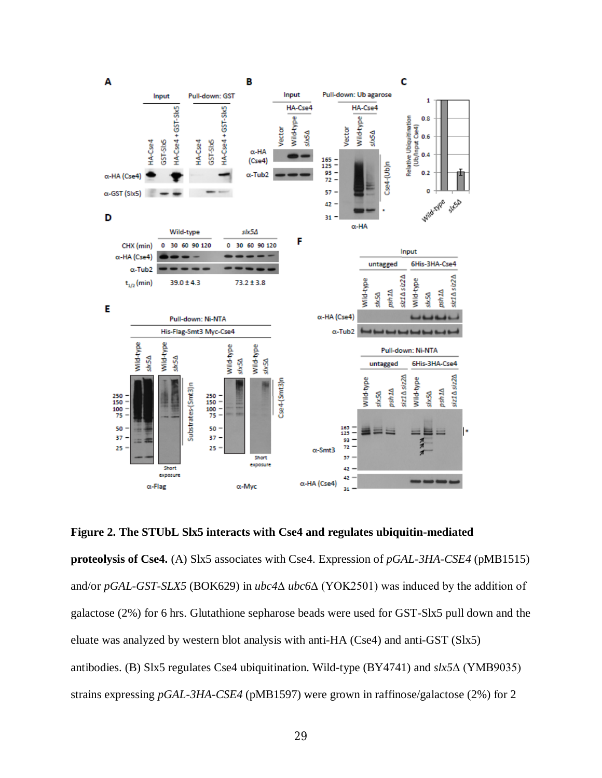

**Figure 2. The STUbL Slx5 interacts with Cse4 and regulates ubiquitin-mediated** 

**proteolysis of Cse4.** (A) Slx5 associates with Cse4. Expression of *pGAL-3HA-CSE4* (pMB1515) and/or *pGAL-GST-SLX5* (BOK629) in *ubc4*∆ *ubc6*∆ (YOK2501) was induced by the addition of galactose (2%) for 6 hrs. Glutathione sepharose beads were used for GST-Slx5 pull down and the eluate was analyzed by western blot analysis with anti-HA (Cse4) and anti-GST (Slx5) antibodies. (B) Slx5 regulates Cse4 ubiquitination. Wild-type (BY4741) and *slx5*∆ (YMB9035) strains expressing *pGAL-3HA-CSE4* (pMB1597) were grown in raffinose/galactose (2%) for 2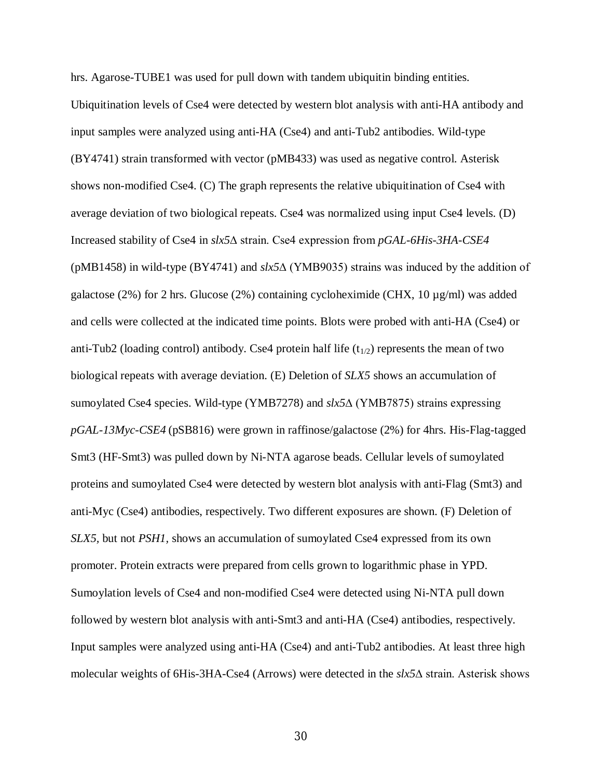hrs. Agarose-TUBE1 was used for pull down with tandem ubiquitin binding entities. Ubiquitination levels of Cse4 were detected by western blot analysis with anti-HA antibody and input samples were analyzed using anti-HA (Cse4) and anti-Tub2 antibodies. Wild-type (BY4741) strain transformed with vector (pMB433) was used as negative control. Asterisk shows non-modified Cse4. (C) The graph represents the relative ubiquitination of Cse4 with average deviation of two biological repeats. Cse4 was normalized using input Cse4 levels. (D) Increased stability of Cse4 in *slx5*∆ strain. Cse4 expression from *pGAL-6His-3HA-CSE4* (pMB1458) in wild-type (BY4741) and *slx5*∆ (YMB9035) strains was induced by the addition of galactose (2%) for 2 hrs. Glucose (2%) containing cycloheximide (CHX, 10  $\mu$ g/ml) was added and cells were collected at the indicated time points. Blots were probed with anti-HA (Cse4) or anti-Tub2 (loading control) antibody. Cse4 protein half life  $(t_{1/2})$  represents the mean of two biological repeats with average deviation. (E) Deletion of *SLX5* shows an accumulation of sumoylated Cse4 species. Wild-type (YMB7278) and *slx5*∆ (YMB7875) strains expressing *pGAL-13Myc-CSE4* (pSB816) were grown in raffinose/galactose (2%) for 4hrs. His-Flag-tagged Smt3 (HF-Smt3) was pulled down by Ni-NTA agarose beads. Cellular levels of sumoylated proteins and sumoylated Cse4 were detected by western blot analysis with anti-Flag (Smt3) and anti-Myc (Cse4) antibodies, respectively. Two different exposures are shown. (F) Deletion of *SLX5*, but not *PSH1*, shows an accumulation of sumoylated Cse4 expressed from its own promoter. Protein extracts were prepared from cells grown to logarithmic phase in YPD. Sumoylation levels of Cse4 and non-modified Cse4 were detected using Ni-NTA pull down followed by western blot analysis with anti-Smt3 and anti-HA (Cse4) antibodies, respectively. Input samples were analyzed using anti-HA (Cse4) and anti-Tub2 antibodies. At least three high molecular weights of 6His-3HA-Cse4 (Arrows) were detected in the *slx5*∆ strain. Asterisk shows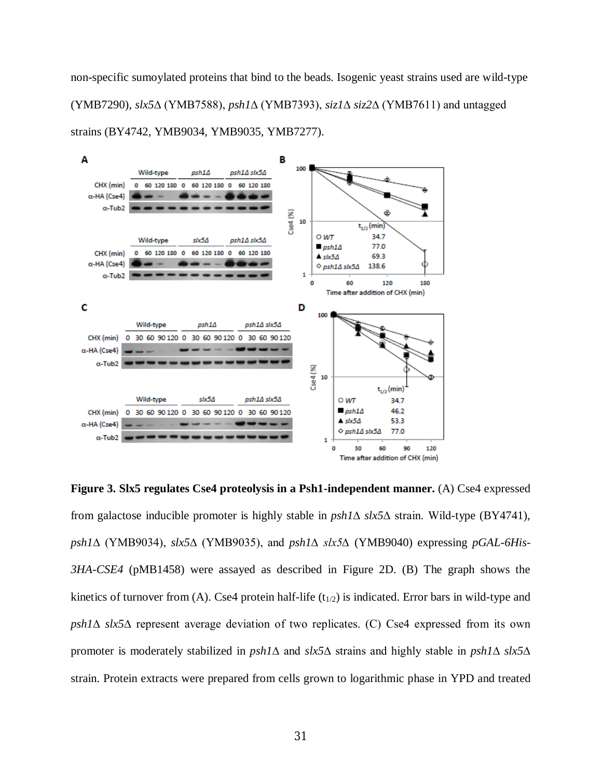non-specific sumoylated proteins that bind to the beads. Isogenic yeast strains used are wild-type (YMB7290), *slx5*∆ (YMB7588), *psh1*∆ (YMB7393), *siz1*∆ *siz2*∆ (YMB7611) and untagged strains (BY4742, YMB9034, YMB9035, YMB7277).



**Figure 3. Slx5 regulates Cse4 proteolysis in a Psh1-independent manner.** (A) Cse4 expressed from galactose inducible promoter is highly stable in *psh1*∆ *slx5*∆ strain. Wild-type (BY4741), *psh1*∆ (YMB9034), *slx5*∆ (YMB9035), and *psh1∆ slx5∆* (YMB9040) expressing *pGAL-6His-3HA-CSE4* (pMB1458) were assayed as described in Figure 2D. (B) The graph shows the kinetics of turnover from (A). Cse4 protein half-life  $(t_{1/2})$  is indicated. Error bars in wild-type and *psh1*∆ *slx5*∆ represent average deviation of two replicates. (C) Cse4 expressed from its own promoter is moderately stabilized in *psh1*∆ and *slx5*∆ strains and highly stable in *psh1*∆ *slx5*∆ strain. Protein extracts were prepared from cells grown to logarithmic phase in YPD and treated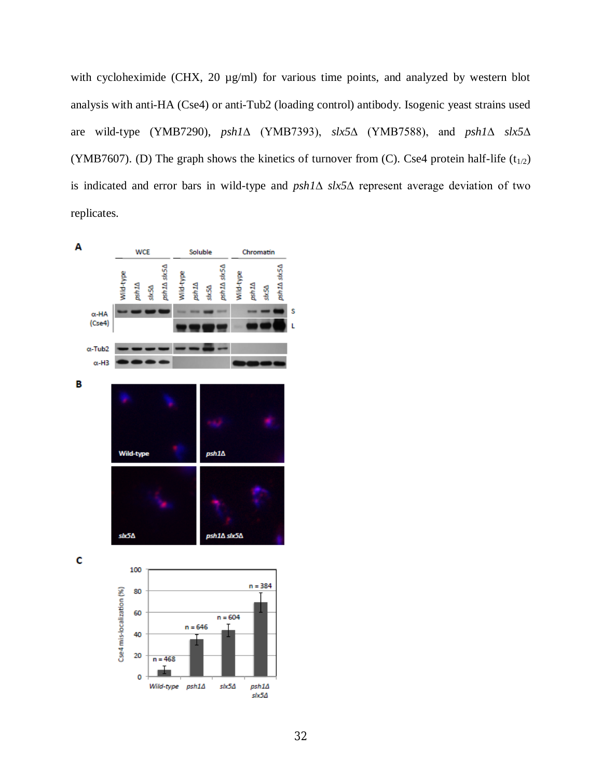with cycloheximide (CHX, 20  $\mu$ g/ml) for various time points, and analyzed by western blot analysis with anti-HA (Cse4) or anti-Tub2 (loading control) antibody. Isogenic yeast strains used are wild-type (YMB7290), *psh1*∆ (YMB7393), *slx5*∆ (YMB7588), and *psh1*∆ *slx5*∆ (YMB7607). (D) The graph shows the kinetics of turnover from (C). Cse4 protein half-life  $(t_{1/2})$ is indicated and error bars in wild-type and *psh1*∆ *slx5*∆ represent average deviation of two replicates.

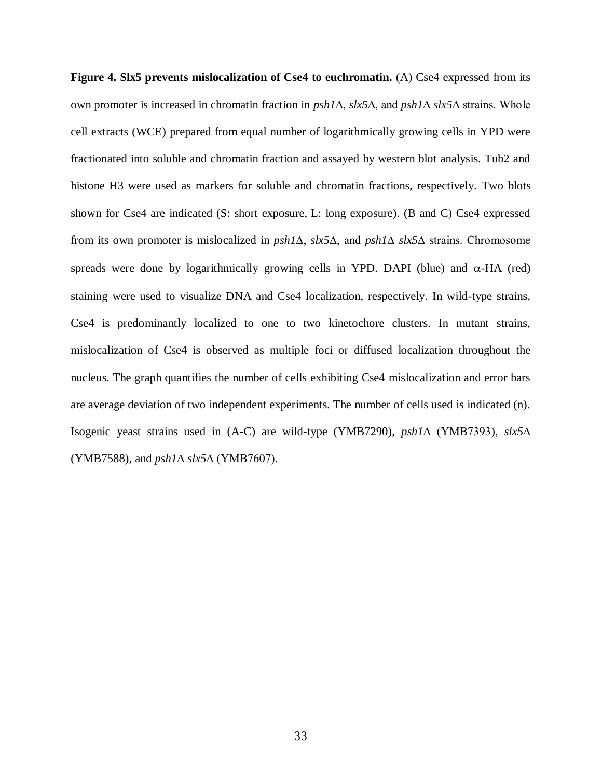Figure 4. Slx5 prevents mislocalization of Cse4 to euchromatin. (A) Cse4 expressed from its own promoter is increased in chromatin fraction in *psh1*∆, *slx5*∆, and *psh1*∆ *slx5*∆ strains. Whole cell extracts (WCE) prepared from equal number of logarithmically growing cells in YPD were fractionated into soluble and chromatin fraction and assayed by western blot analysis. Tub2 and histone H3 were used as markers for soluble and chromatin fractions, respectively. Two blots shown for Cse4 are indicated (S: short exposure, L: long exposure). (B and C) Cse4 expressed from its own promoter is mislocalized in *psh1*∆, *slx5*∆, and *psh1*∆ *slx5*∆ strains. Chromosome spreads were done by logarithmically growing cells in YPD. DAPI (blue) and  $\alpha$ -HA (red) staining were used to visualize DNA and Cse4 localization, respectively. In wild-type strains, Cse4 is predominantly localized to one to two kinetochore clusters. In mutant strains, mislocalization of Cse4 is observed as multiple foci or diffused localization throughout the nucleus. The graph quantifies the number of cells exhibiting Cse4 mislocalization and error bars are average deviation of two independent experiments. The number of cells used is indicated (n). Isogenic yeast strains used in (A-C) are wild-type (YMB7290), *psh1*∆ (YMB7393), *slx5*∆ (YMB7588), and *psh1*∆ *slx5*∆ (YMB7607).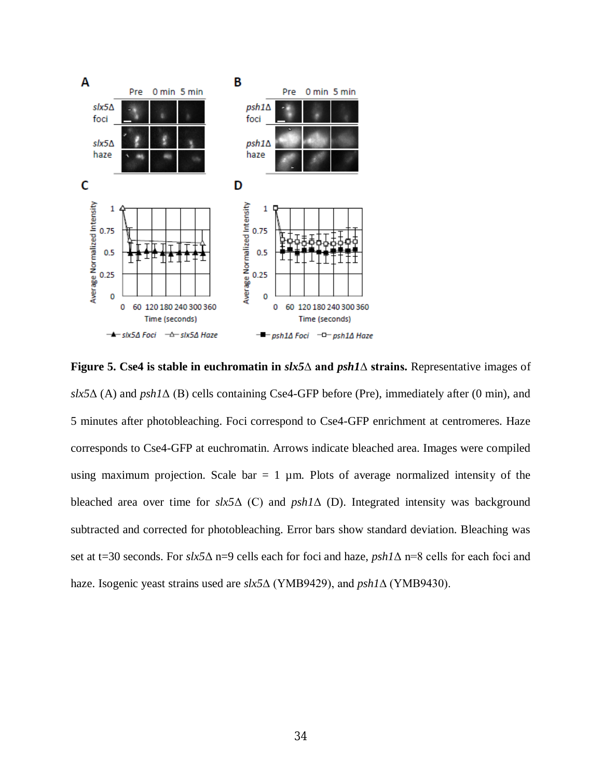

**Figure 5. Cse4 is stable in euchromatin in** *slx5***∆ and** *psh1***∆ strains.** Representative images of  $\delta x$ 5 $\Delta$  (A) and  $\rho sh$ 1 $\Delta$  (B) cells containing Cse4-GFP before (Pre), immediately after (0 min), and 5 minutes after photobleaching. Foci correspond to Cse4-GFP enrichment at centromeres. Haze corresponds to Cse4-GFP at euchromatin. Arrows indicate bleached area. Images were compiled using maximum projection. Scale bar  $= 1 \mu m$ . Plots of average normalized intensity of the bleached area over time for *slx5*Δ (C) and *psh1*Δ (D). Integrated intensity was background subtracted and corrected for photobleaching. Error bars show standard deviation. Bleaching was set at t=30 seconds. For *slx5*Δ n=9 cells each for foci and haze, *psh1*Δ n=8 cells for each foci and haze. Isogenic yeast strains used are *slx5*∆ (YMB9429), and *psh1*∆ (YMB9430).